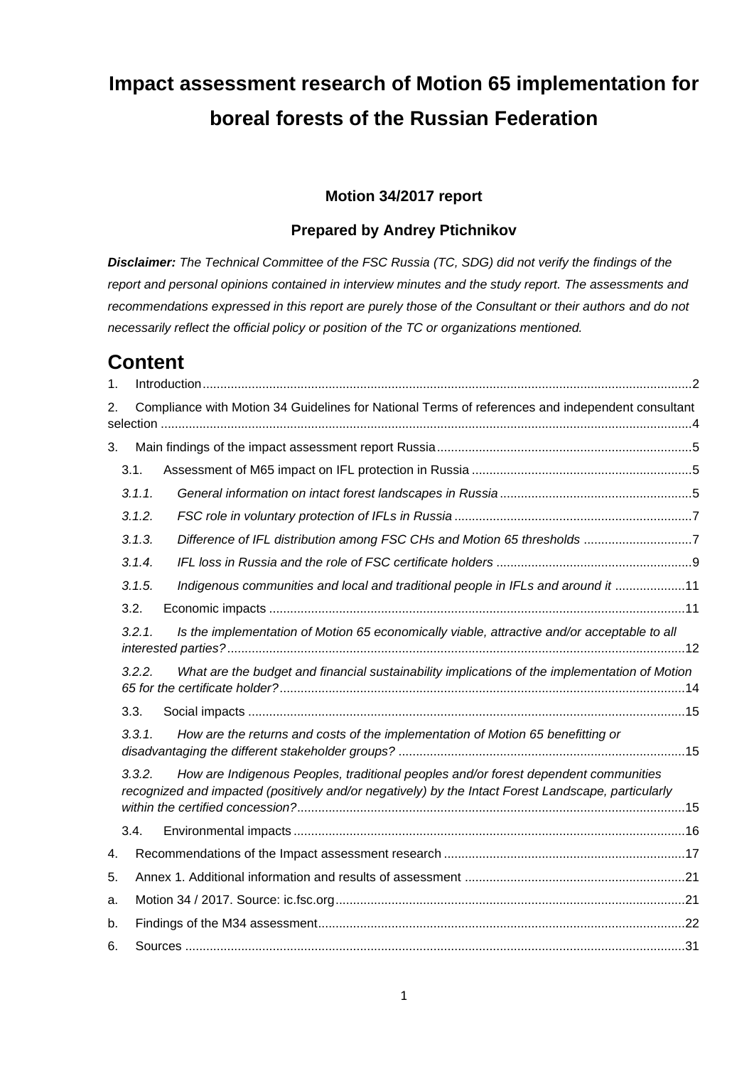# **Impact assessment research of Motion 65 implementation for boreal forests of the Russian Federation**

#### **Motion 34/2017 report**

#### **Prepared by Andrey Ptichnikov**

*Disclaimer: The Technical Committee of the FSC Russia (TC, SDG) did not verify the findings of the report and personal opinions contained in interview minutes and the study report. The assessments and recommendations expressed in this report are purely those of the Consultant or their authors and do not necessarily reflect the official policy or position of the TC or organizations mentioned.*

# **Content**

| 1.       |        |                                                                                                                                                                                            |  |
|----------|--------|--------------------------------------------------------------------------------------------------------------------------------------------------------------------------------------------|--|
| 2.       |        | Compliance with Motion 34 Guidelines for National Terms of references and independent consultant                                                                                           |  |
| 3.       |        |                                                                                                                                                                                            |  |
|          | 3.1.   |                                                                                                                                                                                            |  |
|          | 3.1.1. |                                                                                                                                                                                            |  |
|          | 3.1.2. |                                                                                                                                                                                            |  |
|          | 3.1.3. | Difference of IFL distribution among FSC CHs and Motion 65 thresholds 7                                                                                                                    |  |
|          | 3.1.4. |                                                                                                                                                                                            |  |
|          | 3.1.5. | Indigenous communities and local and traditional people in IFLs and around it 11                                                                                                           |  |
|          | 3.2.   |                                                                                                                                                                                            |  |
|          | 3.2.1. | Is the implementation of Motion 65 economically viable, attractive and/or acceptable to all                                                                                                |  |
|          | 3.2.2. | What are the budget and financial sustainability implications of the implementation of Motion                                                                                              |  |
|          | 3.3.   |                                                                                                                                                                                            |  |
|          | 3.3.1. | How are the returns and costs of the implementation of Motion 65 benefitting or                                                                                                            |  |
|          | 3.3.2. | How are Indigenous Peoples, traditional peoples and/or forest dependent communities<br>recognized and impacted (positively and/or negatively) by the Intact Forest Landscape, particularly |  |
|          | 3.4.   |                                                                                                                                                                                            |  |
| 4.       |        |                                                                                                                                                                                            |  |
| 5.       |        |                                                                                                                                                                                            |  |
|          |        |                                                                                                                                                                                            |  |
| a.<br>b. |        |                                                                                                                                                                                            |  |
|          |        |                                                                                                                                                                                            |  |
| 6.       |        |                                                                                                                                                                                            |  |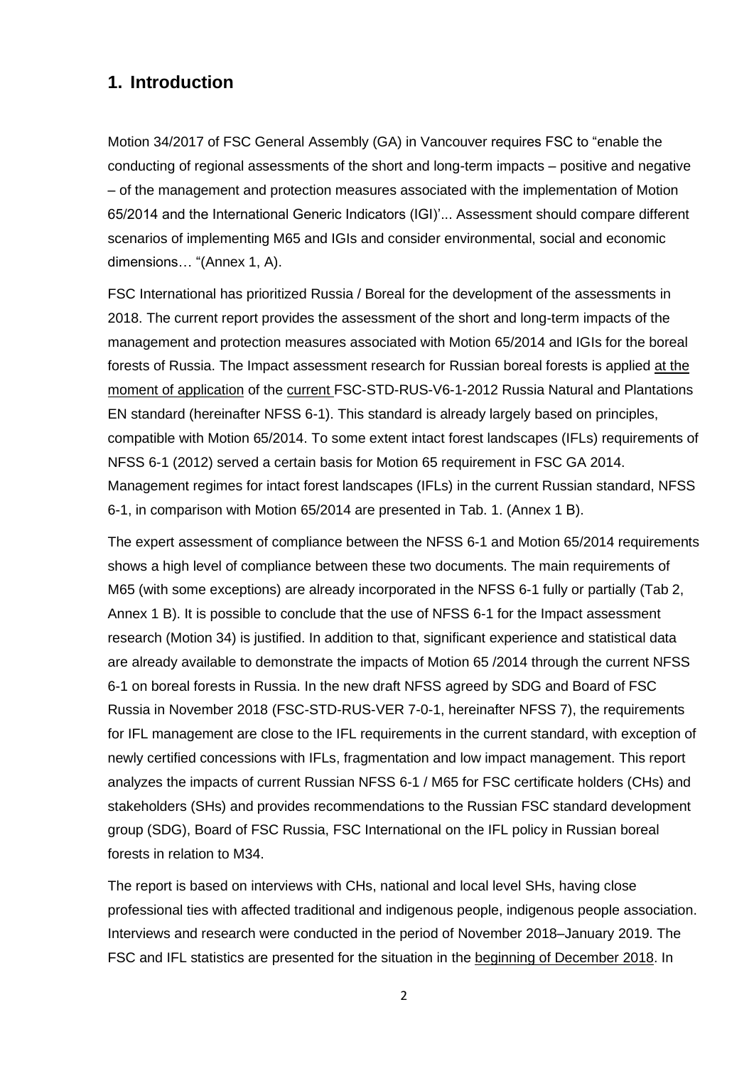#### <span id="page-1-0"></span>**1. Introduction**

Motion 34/2017 of FSC General Assembly (GA) in Vancouver requires FSC to "enable the conducting of regional assessments of the short and long-term impacts – positive and negative – of the management and protection measures associated with the implementation of Motion 65/2014 and the International Generic Indicators (IGI)'... Assessment should compare different scenarios of implementing M65 and IGIs and consider environmental, social and economic dimensions… "(Annex 1, A).

FSC International has prioritized Russia / Boreal for the development of the assessments in 2018. The current report provides the assessment of the short and long-term impacts of the management and protection measures associated with Motion 65/2014 and IGIs for the boreal forests of Russia. The Impact assessment research for Russian boreal forests is applied at the moment of application of the current FSC-STD-RUS-V6-1-2012 Russia Natural and Plantations EN standard (hereinafter NFSS 6-1). This standard is already largely based on principles, compatible with Motion 65/2014. To some extent intact forest landscapes (IFLs) requirements of NFSS 6-1 (2012) served a certain basis for Motion 65 requirement in FSC GA 2014. Management regimes for intact forest landscapes (IFLs) in the current Russian standard, NFSS 6-1, in comparison with Motion 65/2014 are presented in Tab. 1. (Annex 1 В).

The expert assessment of compliance between the NFSS 6-1 and Motion 65/2014 requirements shows a high level of compliance between these two documents. The main requirements of M65 (with some exceptions) are already incorporated in the NFSS 6-1 fully or partially (Tab 2, Annex 1 B). It is possible to conclude that the use of NFSS 6-1 for the Impact assessment research (Motion 34) is justified. In addition to that, significant experience and statistical data are already available to demonstrate the impacts of Motion 65 /2014 through the current NFSS 6-1 on boreal forests in Russia. In the new draft NFSS agreed by SDG and Board of FSC Russia in November 2018 (FSC-STD-RUS-VER 7-0-1, hereinafter NFSS 7), the requirements for IFL management are close to the IFL requirements in the current standard, with exception of newly certified concessions with IFLs, fragmentation and low impact management. This report analyzes the impacts of current Russian NFSS 6-1 / M65 for FSC certificate holders (CHs) and stakeholders (SHs) and provides recommendations to the Russian FSC standard development group (SDG), Board of FSC Russia, FSC International on the IFL policy in Russian boreal forests in relation to M34.

The report is based on interviews with CHs, national and local level SHs, having close professional ties with affected traditional and indigenous people, indigenous people association. Interviews and research were conducted in the period of November 2018–January 2019. The FSC and IFL statistics are presented for the situation in the beginning of December 2018. In

2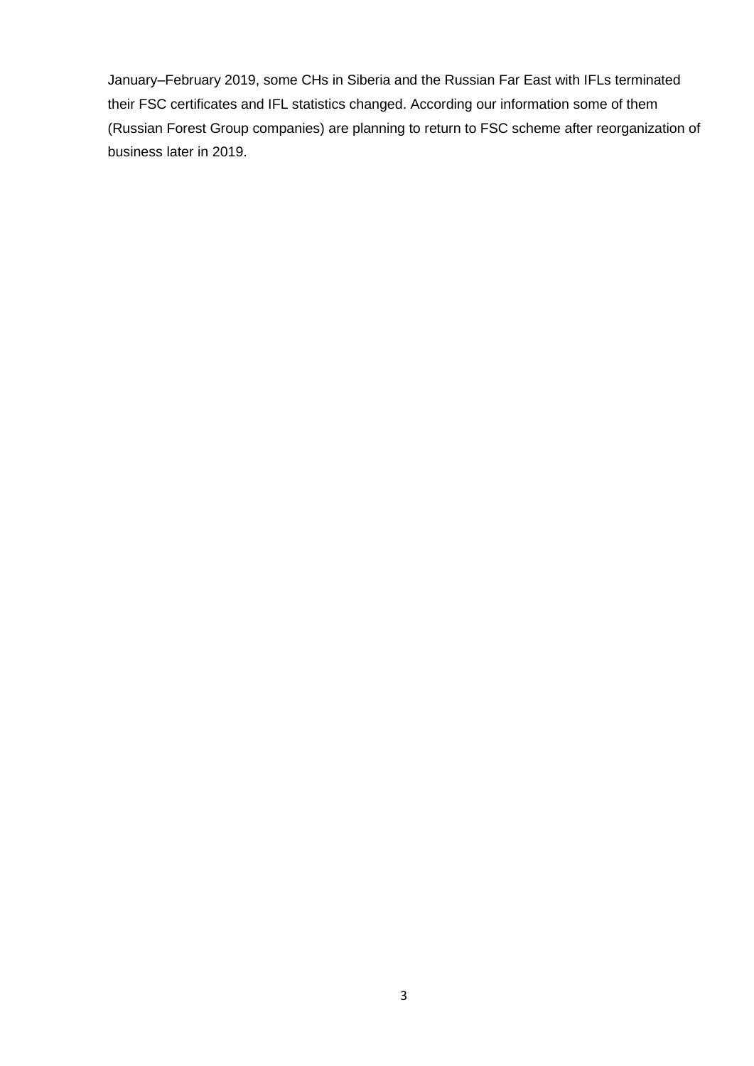January–February 2019, some CHs in Siberia and the Russian Far East with IFLs terminated their FSC certificates and IFL statistics changed. According our information some of them (Russian Forest Group companies) are planning to return to FSC scheme after reorganization of business later in 2019.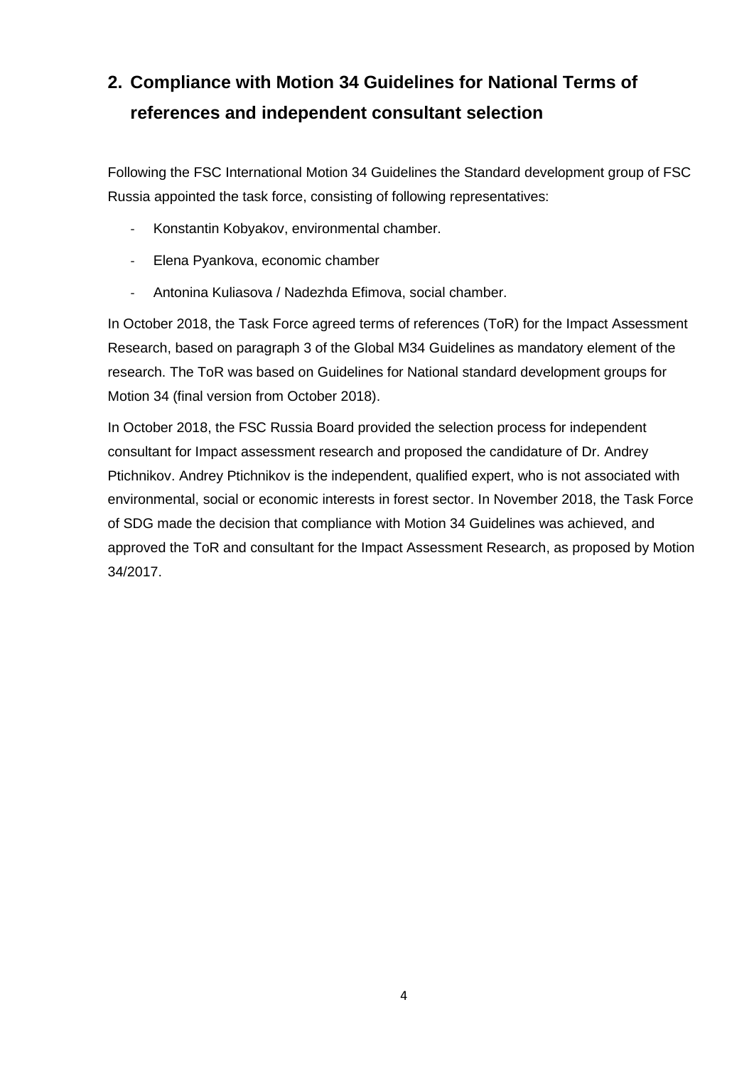# <span id="page-3-0"></span>**2. Compliance with Motion 34 Guidelines for National Terms of references and independent consultant selection**

Following the FSC International Motion 34 Guidelines the Standard development group of FSC Russia appointed the task force, consisting of following representatives:

- Konstantin Kobyakov, environmental chamber.
- Elena Pyankova, economic chamber
- Antonina Kuliasova / Nadezhda Efimova, social chamber.

In October 2018, the Task Force agreed terms of references (ToR) for the Impact Assessment Research, based on paragraph 3 of the Global M34 Guidelines as mandatory element of the research. The ToR was based on Guidelines for National standard development groups for Motion 34 (final version from October 2018).

In October 2018, the FSC Russia Board provided the selection process for independent consultant for Impact assessment research and proposed the candidature of Dr. Andrey Ptichnikov. Andrey Ptichnikov is the independent, qualified expert, who is not associated with environmental, social or economic interests in forest sector. In November 2018, the Task Force of SDG made the decision that compliance with Motion 34 Guidelines was achieved, and approved the ToR and consultant for the Impact Assessment Research, as proposed by Motion 34/2017.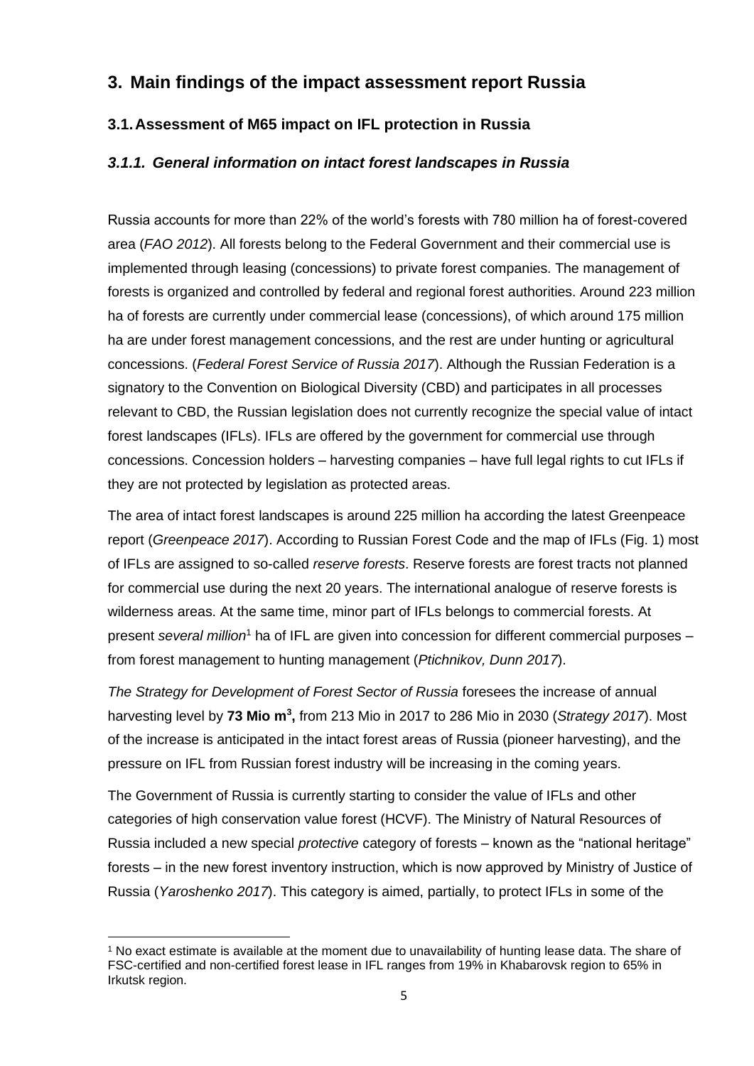### <span id="page-4-0"></span>**3. Main findings of the impact assessment report Russia**

#### <span id="page-4-1"></span>**3.1.Assessment of M65 impact on IFL protection in Russia**

#### <span id="page-4-2"></span>*3.1.1. General information on intact forest landscapes in Russia*

Russia accounts for more than 22% of the world's forests with 780 million ha of forest-covered area (*FAO 2012*). All forests belong to the Federal Government and their commercial use is implemented through leasing (concessions) to private forest companies. The management of forests is organized and controlled by federal and regional forest authorities. Around 223 million ha of forests are currently under commercial lease (concessions), of which around 175 million ha are under forest management concessions, and the rest are under hunting or agricultural concessions. (*Federal Forest Service of Russia 2017*). Although the Russian Federation is a signatory to the Convention on Biological Diversity (CBD) and participates in all processes relevant to CBD, the Russian legislation does not currently recognize the special value of intact forest landscapes (IFLs). IFLs are offered by the government for commercial use through concessions. Concession holders – harvesting companies – have full legal rights to cut IFLs if they are not protected by legislation as protected areas.

The area of intact forest landscapes is around 225 million ha according the latest Greenpeace report (*Greenpeace 2017*). According to Russian Forest Code and the map of IFLs (Fig. 1) most of IFLs are assigned to so-called *reserve forests*. Reserve forests are forest tracts not planned for commercial use during the next 20 years. The international analogue of reserve forests is wilderness areas. At the same time, minor part of IFLs belongs to commercial forests. At present *several million*<sup>1</sup> ha of IFL are given into concession for different commercial purposes – from forest management to hunting management (*Ptichnikov, Dunn 2017*).

*The Strategy for Development of Forest Sector of Russia* foresees the increase of annual harvesting level by **73 Mio m<sup>3</sup> ,** from 213 Mio in 2017 to 286 Mio in 2030 (*Strategy 2017*). Most of the increase is anticipated in the intact forest areas of Russia (pioneer harvesting), and the pressure on IFL from Russian forest industry will be increasing in the coming years.

The Government of Russia is currently starting to consider the value of IFLs and other categories of high conservation value forest (HCVF). The Ministry of Natural Resources of Russia included a new special *protective* category of forests – known as the "national heritage" forests – in the new forest inventory instruction, which is now approved by Ministry of Justice of Russia (*Yaroshenko 2017*). This category is aimed, partially, to protect IFLs in some of the

<sup>&</sup>lt;sup>1</sup> No exact estimate is available at the moment due to unavailability of hunting lease data. The share of FSC-certified and non-certified forest lease in IFL ranges from 19% in Khabarovsk region to 65% in Irkutsk region.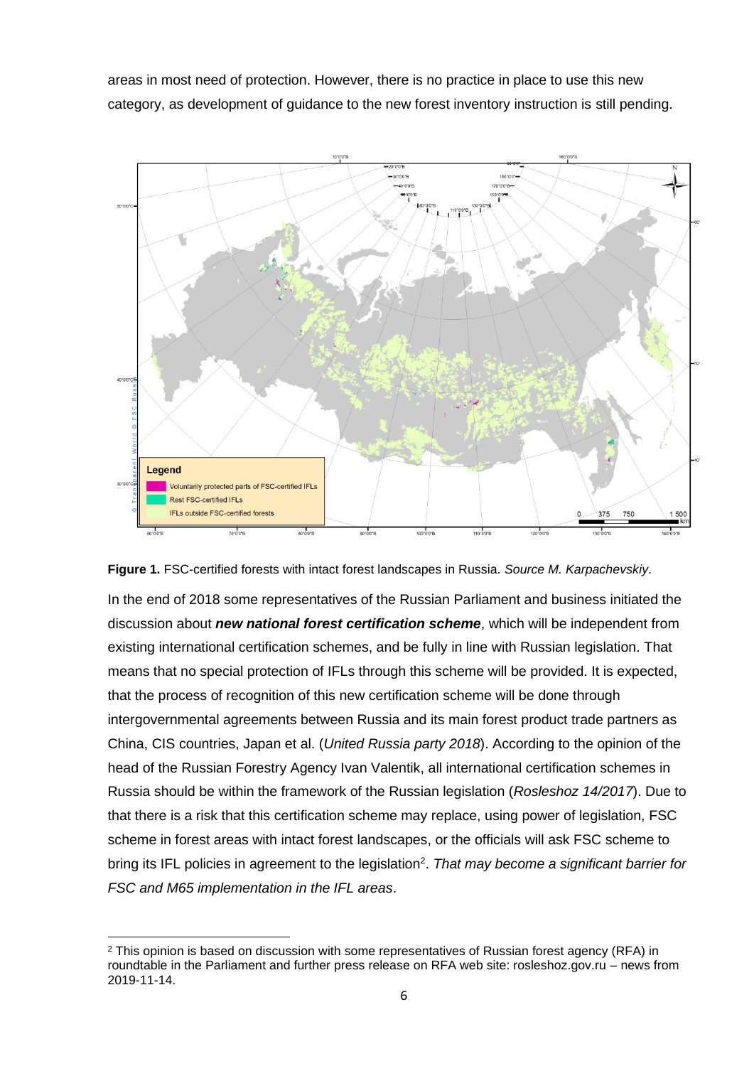areas in most need of protection. However, there is no practice in place to use this new category, as development of guidance to the new forest inventory instruction is still pending.





In the end of 2018 some representatives of the Russian Parliament and business initiated the discussion about *new national forest certification scheme*, which will be independent from existing international certification schemes, and be fully in line with Russian legislation. That means that no special protection of IFLs through this scheme will be provided. It is expected, that the process of recognition of this new certification scheme will be done through intergovernmental agreements between Russia and its main forest product trade partners as China, CIS countries, Japan et al. (*United Russia party 2018*). According to the opinion of the head of the Russian Forestry Agency Ivan Valentik, all international certification schemes in Russia should be within the framework of the Russian legislation (*Rosleshoz 14/2017*). Due to that there is a risk that this certification scheme may replace, using power of legislation, FSC scheme in forest areas with intact forest landscapes, or the officials will ask FSC scheme to bring its IFL policies in agreement to the legislation<sup>2</sup>. That may become a significant barrier for *FSC and M65 implementation in the IFL areas*.

<sup>2</sup> This opinion is based on discussion with some representatives of Russian forest agency (RFA) in roundtable in the Parliament and further press release on RFA web site: rosleshoz.gov.ru – news from 2019-11-14.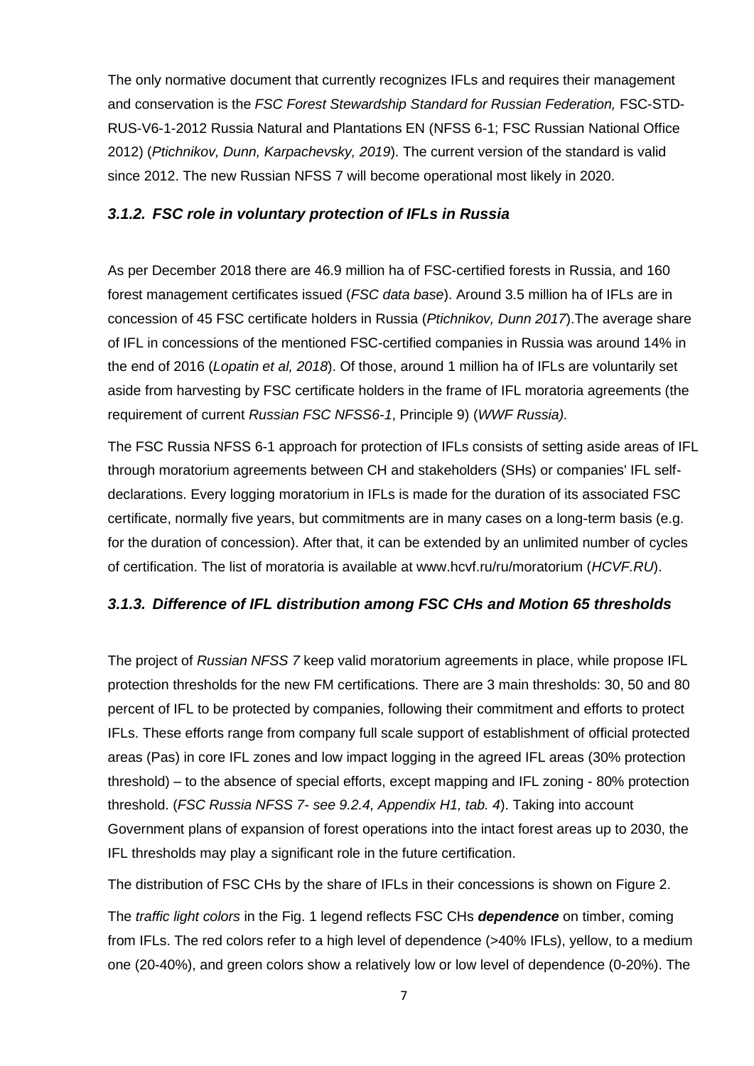The only normative document that currently recognizes IFLs and requires their management and conservation is the *FSC Forest Stewardship Standard for Russian Federation,* FSC-STD-RUS-V6-1-2012 Russia Natural and Plantations EN (NFSS 6-1; FSC Russian National Office 2012) (*Ptichnikov, Dunn, Karpachevsky, 2019*). The current version of the standard is valid since 2012. The new Russian NFSS 7 will become operational most likely in 2020.

#### <span id="page-6-0"></span>*3.1.2. FSC role in voluntary protection of IFLs in Russia*

As per December 2018 there are 46.9 million ha of FSC-certified forests in Russia, and 160 forest management certificates issued (*FSC data base*). Around 3.5 million ha of IFLs are in concession of 45 FSC certificate holders in Russia (*Ptichnikov, Dunn 2017*).The average share of IFL in concessions of the mentioned FSC-certified companies in Russia was around 14% in the end of 2016 (*Lopatin et al, 2018*). Of those, around 1 million ha of IFLs are voluntarily set aside from harvesting by FSC certificate holders in the frame of IFL moratoria agreements (the requirement of current *Russian FSC NFSS6-1*, Principle 9) (*WWF Russia).*

The FSC Russia NFSS 6-1 approach for protection of IFLs consists of setting aside areas of IFL through moratorium agreements between CH and stakeholders (SHs) or companies' IFL selfdeclarations. Every logging moratorium in IFLs is made for the duration of its associated FSC certificate, normally five years, but commitments are in many cases on a long-term basis (e.g. for the duration of concession). After that, it can be extended by an unlimited number of cycles of certification. The list of moratoria is available at www.hcvf.ru/ru/moratorium (*HCVF.RU*).

#### <span id="page-6-1"></span>*3.1.3. Difference of IFL distribution among FSC CHs and Motion 65 thresholds*

The project of *Russian NFSS 7* keep valid moratorium agreements in place, while propose IFL protection thresholds for the new FM certifications. There are 3 main thresholds: 30, 50 and 80 percent of IFL to be protected by companies, following their commitment and efforts to protect IFLs. These efforts range from company full scale support of establishment of official protected areas (Pas) in core IFL zones and low impact logging in the agreed IFL areas (30% protection threshold) – to the absence of special efforts, except mapping and IFL zoning - 80% protection threshold. (*FSC Russia NFSS 7- see 9.2.4, Appendix H1, tab. 4*). Taking into account Government plans of expansion of forest operations into the intact forest areas up to 2030, the IFL thresholds may play a significant role in the future certification.

The distribution of FSC CHs by the share of IFLs in their concessions is shown on Figure 2.

The *traffic light colors* in the Fig. 1 legend reflects FSC CHs *dependence* on timber, coming from IFLs. The red colors refer to a high level of dependence (>40% IFLs), yellow, to a medium one (20-40%), and green colors show a relatively low or low level of dependence (0-20%). The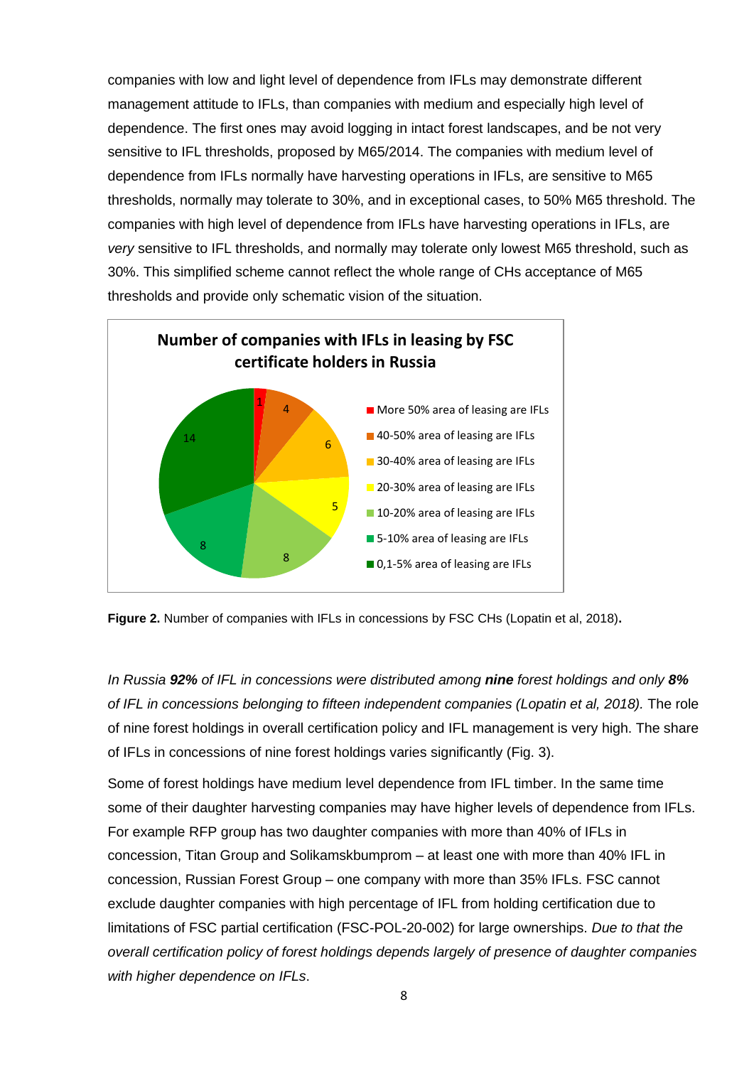companies with low and light level of dependence from IFLs may demonstrate different management attitude to IFLs, than companies with medium and especially high level of dependence. The first ones may avoid logging in intact forest landscapes, and be not very sensitive to IFL thresholds, proposed by M65/2014. The companies with medium level of dependence from IFLs normally have harvesting operations in IFLs, are sensitive to M65 thresholds, normally may tolerate to 30%, and in exceptional cases, to 50% M65 threshold. The companies with high level of dependence from IFLs have harvesting operations in IFLs, are *very* sensitive to IFL thresholds, and normally may tolerate only lowest M65 threshold, such as 30%. This simplified scheme cannot reflect the whole range of CHs acceptance of M65 thresholds and provide only schematic vision of the situation.



**Figure 2.** Number of companies with IFLs in concessions by FSC CHs (Lopatin et al, 2018)**.**

*In Russia 92% of IFL in concessions were distributed among nine forest holdings and only 8% of IFL in concessions belonging to fifteen independent companies (Lopatin et al, 2018).* The role of nine forest holdings in overall certification policy and IFL management is very high. The share of IFLs in concessions of nine forest holdings varies significantly (Fig. 3).

Some of forest holdings have medium level dependence from IFL timber. In the same time some of their daughter harvesting companies may have higher levels of dependence from IFLs. For example RFP group has two daughter companies with more than 40% of IFLs in concession, Titan Group and Solikamskbumprom – at least one with more than 40% IFL in concession, Russian Forest Group – one company with more than 35% IFLs. FSC cannot exclude daughter companies with high percentage of IFL from holding certification due to limitations of FSC partial certification (FSC-POL-20-002) for large ownerships. *Due to that the overall certification policy of forest holdings depends largely of presence of daughter companies with higher dependence on IFLs*.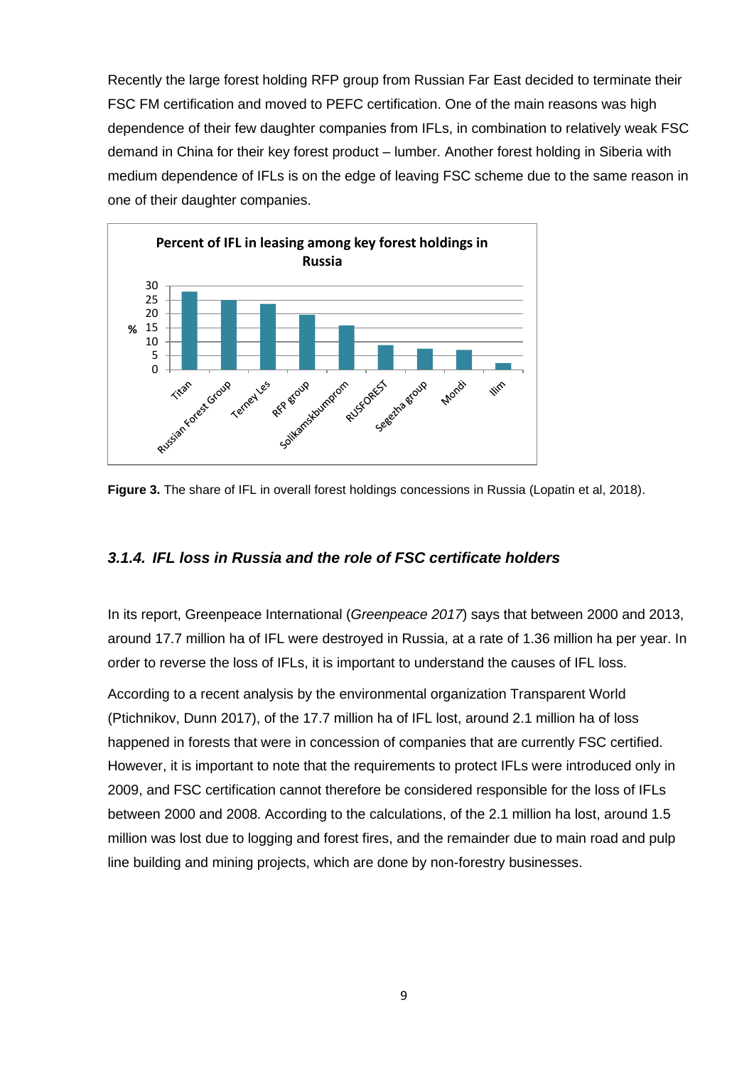Recently the large forest holding RFP group from Russian Far East decided to terminate their FSC FM certification and moved to PEFC certification. One of the main reasons was high dependence of their few daughter companies from IFLs, in combination to relatively weak FSC demand in China for their key forest product – lumber. Another forest holding in Siberia with medium dependence of IFLs is on the edge of leaving FSC scheme due to the same reason in one of their daughter companies.





#### <span id="page-8-0"></span>*3.1.4. IFL loss in Russia and the role of FSC certificate holders*

In its report, Greenpeace International (*Greenpeace 2017*) says that between 2000 and 2013, around 17.7 million ha of IFL were destroyed in Russia, at a rate of 1.36 million ha per year. In order to reverse the loss of IFLs, it is important to understand the causes of IFL loss.

According to a recent analysis by the environmental organization Transparent World (Ptichnikov, Dunn 2017), of the 17.7 million ha of IFL lost, around 2.1 million ha of loss happened in forests that were in concession of companies that are currently FSC certified. However, it is important to note that the requirements to protect IFLs were introduced only in 2009, and FSC certification cannot therefore be considered responsible for the loss of IFLs between 2000 and 2008. According to the calculations, of the 2.1 million ha lost, around 1.5 million was lost due to logging and forest fires, and the remainder due to main road and pulp line building and mining projects, which are done by non-forestry businesses.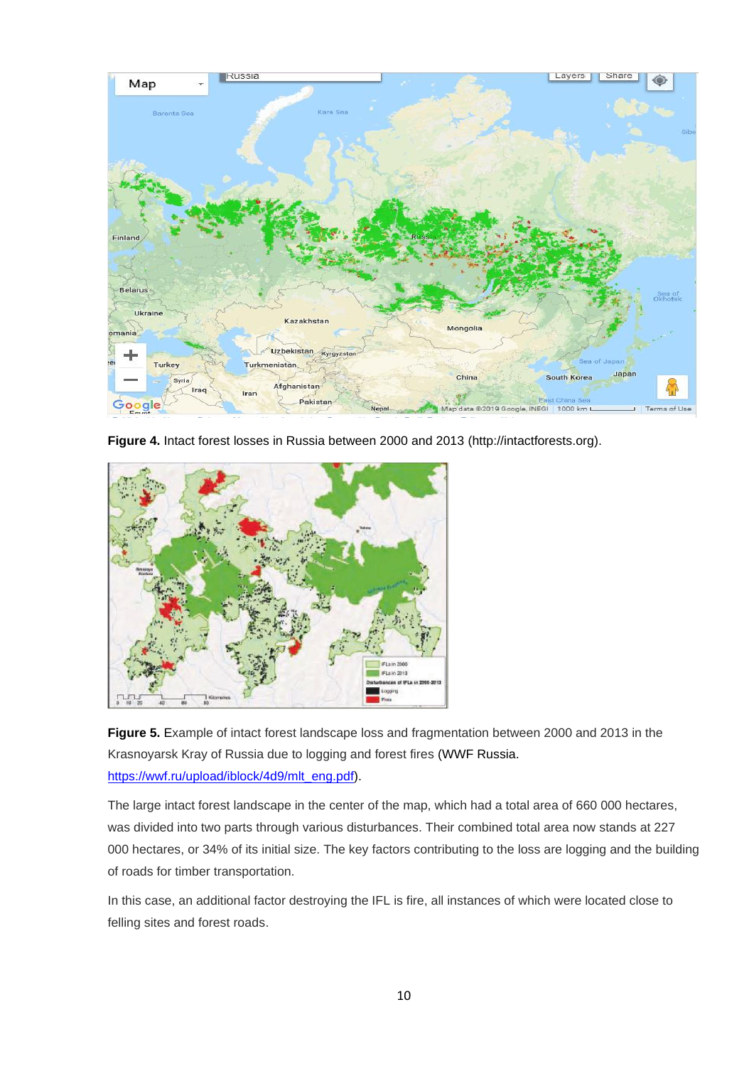

**Figure 4.** Intact forest losses in Russia between 2000 and 2013 (http://intactforests.org).



**Figure 5.** Example of intact forest landscape loss and fragmentation between 2000 and 2013 in the Krasnoyarsk Kray of Russia due to logging and forest fires (WWF Russia. [https://wwf.ru/upload/iblock/4d9/mlt\\_eng.pdf\)](https://wwf.ru/upload/iblock/4d9/mlt_eng.pdf).

The large intact forest landscape in the center of the map, which had a total area of 660 000 hectares, was divided into two parts through various disturbances. Their combined total area now stands at 227 000 hectares, or 34% of its initial size. The key factors contributing to the loss are logging and the building of roads for timber transportation.

In this case, an additional factor destroying the IFL is fire, all instances of which were located close to felling sites and forest roads.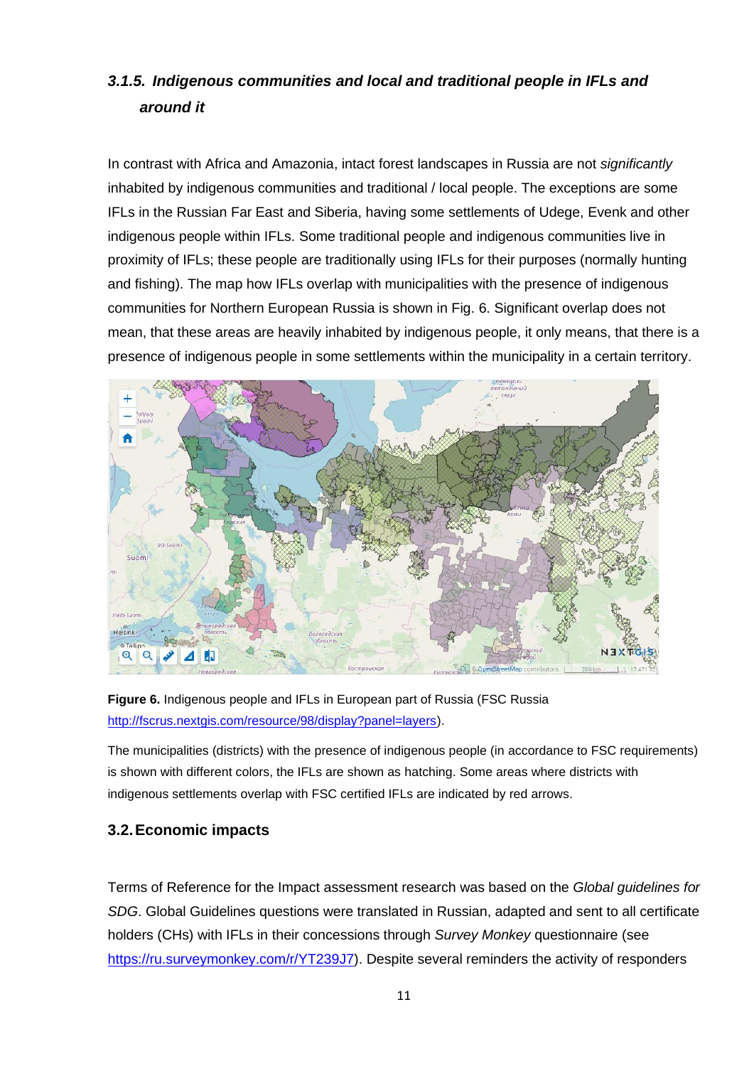### <span id="page-10-0"></span>*3.1.5. Indigenous communities and local and traditional people in IFLs and around it*

In contrast with Africa and Amazonia, intact forest landscapes in Russia are not *significantly* inhabited by indigenous communities and traditional / local people. The exceptions are some IFLs in the Russian Far East and Siberia, having some settlements of Udege, Evenk and other indigenous people within IFLs. Some traditional people and indigenous communities live in proximity of IFLs; these people are traditionally using IFLs for their purposes (normally hunting and fishing). The map how IFLs overlap with municipalities with the presence of indigenous communities for Northern European Russia is shown in Fig. 6. Significant overlap does not mean, that these areas are heavily inhabited by indigenous people, it only means, that there is a presence of indigenous people in some settlements within the municipality in a certain territory.



**Figure 6.** Indigenous people and IFLs in European part of Russia (FSC Russia [http://fscrus.nextgis.com/resource/98/display?panel=layers\)](http://fscrus.nextgis.com/resource/98/display?panel=layers).

The municipalities (districts) with the presence of indigenous people (in accordance to FSC requirements) is shown with different colors, the IFLs are shown as hatching. Some areas where districts with indigenous settlements overlap with FSC certified IFLs are indicated by red arrows.

#### <span id="page-10-1"></span>**3.2.Economic impacts**

Terms of Reference for the Impact assessment research was based on the *Global guidelines for SDG*. Global Guidelines questions were translated in Russian, adapted and sent to all certificate holders (CHs) with IFLs in their concessions through *Survey Monkey* questionnaire (see [https://ru.surveymonkey.com/r/YT239J7\)](https://ru.surveymonkey.com/r/YT239J7). Despite several reminders the activity of responders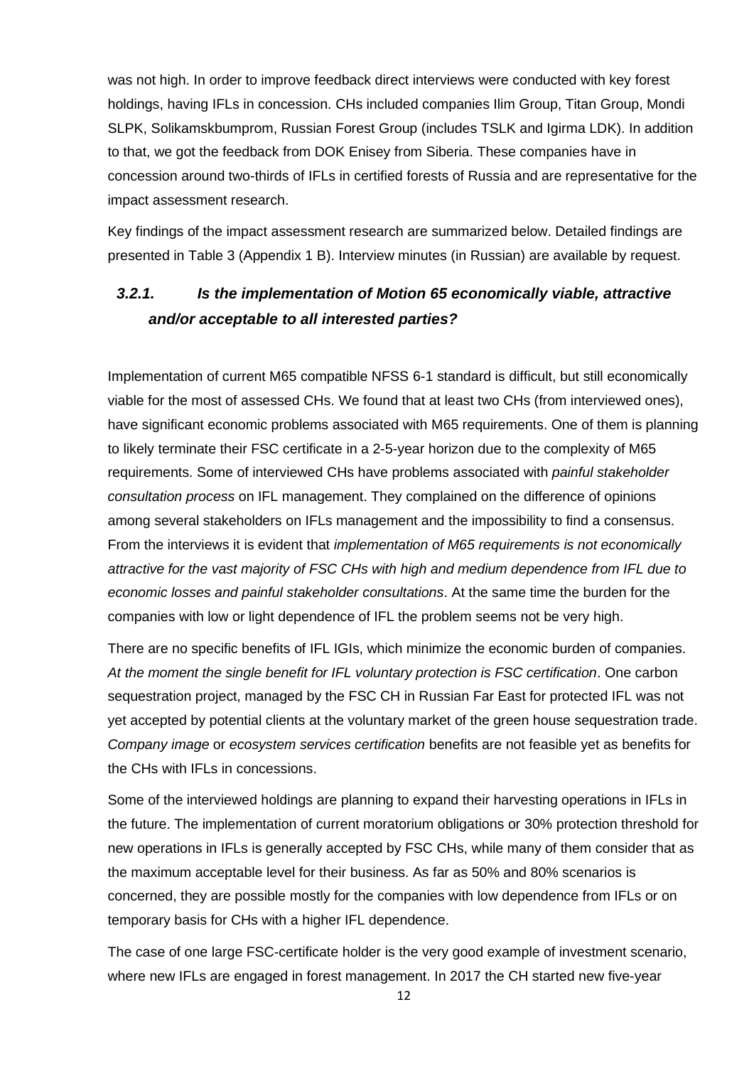was not high. In order to improve feedback direct interviews were conducted with key forest holdings, having IFLs in concession. CHs included companies Ilim Group, Titan Group, Mondi SLPK, Solikamskbumprom, Russian Forest Group (includes TSLK and Igirma LDK). In addition to that, we got the feedback from DOK Enisey from Siberia. These companies have in concession around two-thirds of IFLs in certified forests of Russia and are representative for the impact assessment research.

Key findings of the impact assessment research are summarized below. Detailed findings are presented in Table 3 (Appendix 1 B). Interview minutes (in Russian) are available by request.

### <span id="page-11-0"></span>*3.2.1. Is the implementation of Motion 65 economically viable, attractive and/or acceptable to all interested parties?*

Implementation of current M65 compatible NFSS 6-1 standard is difficult, but still economically viable for the most of assessed CHs. We found that at least two CHs (from interviewed ones), have significant economic problems associated with M65 requirements. One of them is planning to likely terminate their FSC certificate in a 2-5-year horizon due to the complexity of M65 requirements. Some of interviewed CHs have problems associated with *painful stakeholder consultation process* on IFL management. They complained on the difference of opinions among several stakeholders on IFLs management and the impossibility to find a consensus. From the interviews it is evident that *implementation of M65 requirements is not economically attractive for the vast majority of FSC CHs with high and medium dependence from IFL due to economic losses and painful stakeholder consultations*. At the same time the burden for the companies with low or light dependence of IFL the problem seems not be very high.

There are no specific benefits of IFL IGIs, which minimize the economic burden of companies. *At the moment the single benefit for IFL voluntary protection is FSC certification*. One carbon sequestration project, managed by the FSC CH in Russian Far East for protected IFL was not yet accepted by potential clients at the voluntary market of the green house sequestration trade. *Company image* or *ecosystem services certification* benefits are not feasible yet as benefits for the CHs with IFLs in concessions.

Some of the interviewed holdings are planning to expand their harvesting operations in IFLs in the future. The implementation of current moratorium obligations or 30% protection threshold for new operations in IFLs is generally accepted by FSC CHs, while many of them consider that as the maximum acceptable level for their business. As far as 50% and 80% scenarios is concerned, they are possible mostly for the companies with low dependence from IFLs or on temporary basis for CHs with a higher IFL dependence.

The case of one large FSC-certificate holder is the very good example of investment scenario, where new IFLs are engaged in forest management. In 2017 the CH started new five-year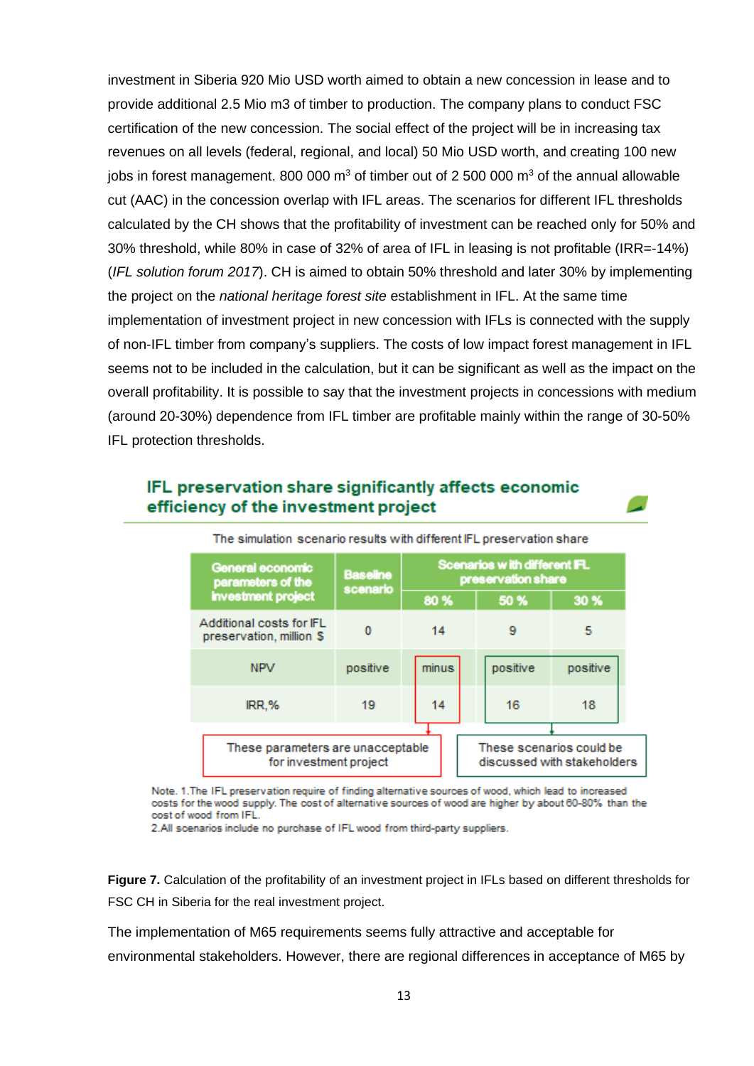investment in Siberia 920 Mio USD worth aimed to obtain a new concession in lease and to provide additional 2.5 Mio m3 of timber to production. The company plans to conduct FSC certification of the new concession. The social effect of the project will be in increasing tax revenues on all levels (federal, regional, and local) 50 Mio USD worth, and creating 100 new jobs in forest management. 800 000  $m<sup>3</sup>$  of timber out of 2 500 000  $m<sup>3</sup>$  of the annual allowable cut (AAC) in the concession overlap with IFL areas. The scenarios for different IFL thresholds calculated by the CH shows that the profitability of investment can be reached only for 50% and 30% threshold, while 80% in case of 32% of area of IFL in leasing is not profitable (IRR=-14%) (*IFL solution forum 2017*). CH is aimed to obtain 50% threshold and later 30% by implementing the project on the *national heritage forest site* establishment in IFL. At the same time implementation of investment project in new concession with IFLs is connected with the supply of non-IFL timber from company's suppliers. The costs of low impact forest management in IFL seems not to be included in the calculation, but it can be significant as well as the impact on the overall profitability. It is possible to say that the investment projects in concessions with medium (around 20-30%) dependence from IFL timber are profitable mainly within the range of 30-50% IFL protection thresholds.

#### IFL preservation share significantly affects economic efficiency of the investment project

| General economic<br>parameters of the                       | <b>Baseline</b><br>scenario | Scenarios with different IFL<br>preservation share |  |                             |          |
|-------------------------------------------------------------|-----------------------------|----------------------------------------------------|--|-----------------------------|----------|
| investment project                                          |                             | 80%                                                |  | 50 %                        | 30 %     |
| Additional costs for IFL<br>preservation, million \$        | 0                           | 14                                                 |  | 9                           | 5        |
| <b>NPV</b>                                                  | positive                    | minus                                              |  | positive                    | positive |
| IRR.%                                                       | 19                          | 14                                                 |  | 16                          | 18       |
| These parameters are unacceptable<br>for investment project |                             |                                                    |  | These scenarios could be    |          |
|                                                             |                             |                                                    |  | discussed with stakeholders |          |

The simulation scenario results with different IEL preservation share

Note. 1. The IFL preservation require of finding alternative sources of wood, which lead to increased costs for the wood supply. The cost of alternative sources of wood are higher by about 60-80% than the cost of wood from IFL.

2.All scenarios include no purchase of IFL wood from third-party suppliers.

**Figure 7.** Calculation of the profitability of an investment project in IFLs based on different thresholds for FSC CH in Siberia for the real investment project.

The implementation of M65 requirements seems fully attractive and acceptable for environmental stakeholders. However, there are regional differences in acceptance of M65 by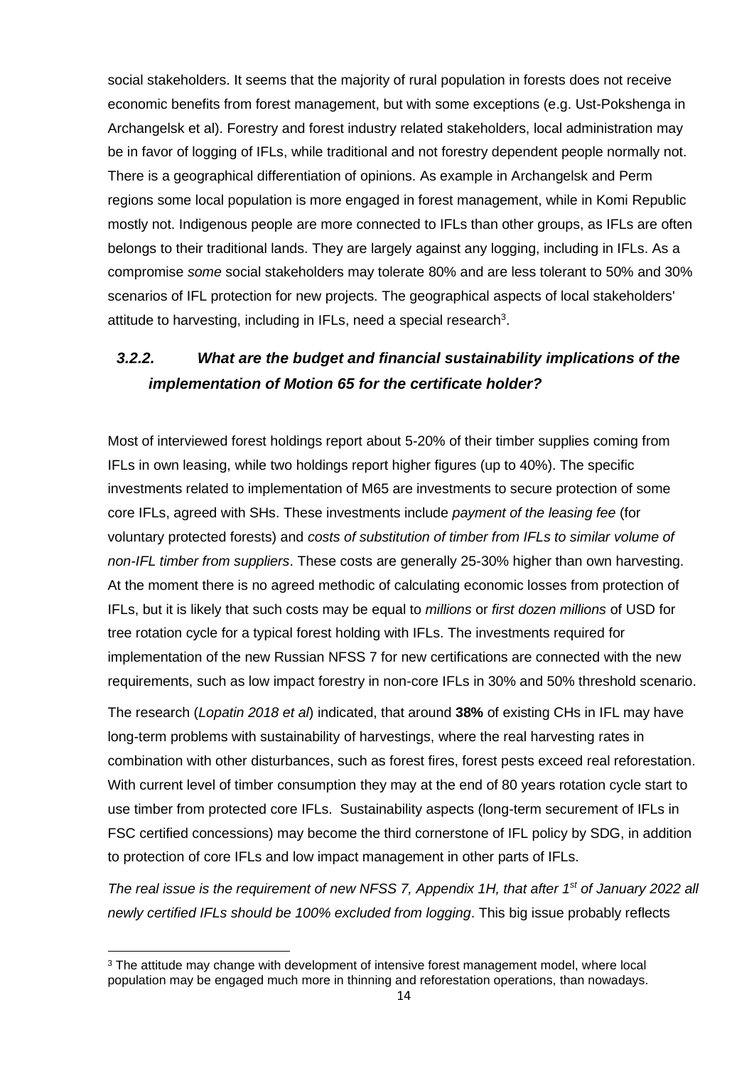social stakeholders. It seems that the majority of rural population in forests does not receive economic benefits from forest management, but with some exceptions (e.g. Ust-Pokshenga in Archangelsk et al). Forestry and forest industry related stakeholders, local administration may be in favor of logging of IFLs, while traditional and not forestry dependent people normally not. There is a geographical differentiation of opinions. As example in Archangelsk and Perm regions some local population is more engaged in forest management, while in Komi Republic mostly not. Indigenous people are more connected to IFLs than other groups, as IFLs are often belongs to their traditional lands. They are largely against any logging, including in IFLs. As a compromise *some* social stakeholders may tolerate 80% and are less tolerant to 50% and 30% scenarios of IFL protection for new projects. The geographical aspects of local stakeholders' attitude to harvesting, including in IFLs, need a special research<sup>3</sup>.

### <span id="page-13-0"></span>*3.2.2. What are the budget and financial sustainability implications of the implementation of Motion 65 for the certificate holder?*

Most of interviewed forest holdings report about 5-20% of their timber supplies coming from IFLs in own leasing, while two holdings report higher figures (up to 40%). The specific investments related to implementation of M65 are investments to secure protection of some core IFLs, agreed with SHs. These investments include *payment of the leasing fee* (for voluntary protected forests) and *costs of substitution of timber from IFLs to similar volume of non-IFL timber from suppliers*. These costs are generally 25-30% higher than own harvesting. At the moment there is no agreed methodic of calculating economic losses from protection of IFLs, but it is likely that such costs may be equal to *millions* or *first dozen millions* of USD for tree rotation cycle for a typical forest holding with IFLs. The investments required for implementation of the new Russian NFSS 7 for new certifications are connected with the new requirements, such as low impact forestry in non-core IFLs in 30% and 50% threshold scenario.

The research (*Lopatin 2018 et al*) indicated, that around **38%** of existing CHs in IFL may have long-term problems with sustainability of harvestings, where the real harvesting rates in combination with other disturbances, such as forest fires, forest pests exceed real reforestation. With current level of timber consumption they may at the end of 80 years rotation cycle start to use timber from protected core IFLs. Sustainability aspects (long-term securement of IFLs in FSC certified concessions) may become the third cornerstone of IFL policy by SDG, in addition to protection of core IFLs and low impact management in other parts of IFLs.

*The real issue is the requirement of new NFSS 7, Appendix 1H, that after 1st of January 2022 all newly certified IFLs should be 100% excluded from logging*. This big issue probably reflects

 $3$  The attitude may change with development of intensive forest management model, where local population may be engaged much more in thinning and reforestation operations, than nowadays.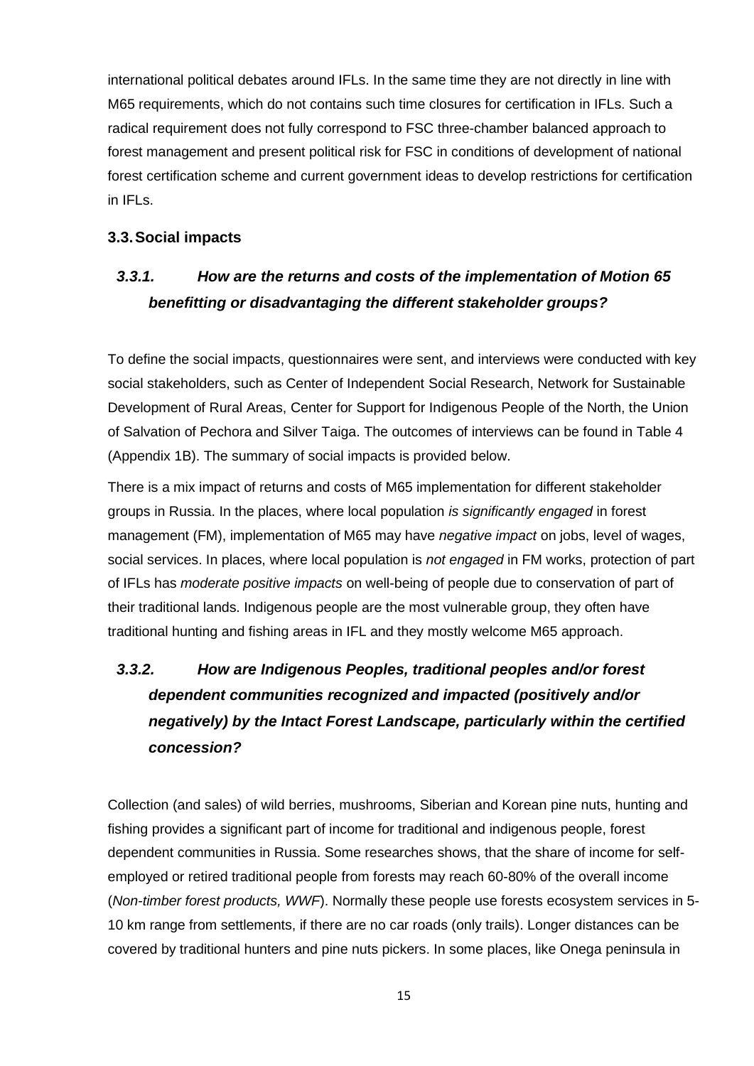international political debates around IFLs. In the same time they are not directly in line with M65 requirements, which do not contains such time closures for certification in IFLs. Such a radical requirement does not fully correspond to FSC three-chamber balanced approach to forest management and present political risk for FSC in conditions of development of national forest certification scheme and current government ideas to develop restrictions for certification in IFLs.

#### <span id="page-14-0"></span>**3.3.Social impacts**

## <span id="page-14-1"></span>*3.3.1. How are the returns and costs of the implementation of Motion 65 benefitting or disadvantaging the different stakeholder groups?*

To define the social impacts, questionnaires were sent, and interviews were conducted with key social stakeholders, such as Center of Independent Social Research, Network for Sustainable Development of Rural Areas, Center for Support for Indigenous People of the North, the Union of Salvation of Pechora and Silver Taiga. The outcomes of interviews can be found in Table 4 (Appendix 1B). The summary of social impacts is provided below.

There is a mix impact of returns and costs of M65 implementation for different stakeholder groups in Russia. In the places, where local population *is significantly engaged* in forest management (FM), implementation of M65 may have *negative impact* on jobs, level of wages, social services. In places, where local population is *not engaged* in FM works, protection of part of IFLs has *moderate positive impacts* on well-being of people due to conservation of part of their traditional lands. Indigenous people are the most vulnerable group, they often have traditional hunting and fishing areas in IFL and they mostly welcome M65 approach.

# <span id="page-14-2"></span>*3.3.2. How are Indigenous Peoples, traditional peoples and/or forest dependent communities recognized and impacted (positively and/or negatively) by the Intact Forest Landscape, particularly within the certified concession?*

Collection (and sales) of wild berries, mushrooms, Siberian and Korean pine nuts, hunting and fishing provides a significant part of income for traditional and indigenous people, forest dependent communities in Russia. Some researches shows, that the share of income for selfemployed or retired traditional people from forests may reach 60-80% of the overall income (*Non-timber forest products, WWF*). Normally these people use forests ecosystem services in 5- 10 km range from settlements, if there are no car roads (only trails). Longer distances can be covered by traditional hunters and pine nuts pickers. In some places, like Onega peninsula in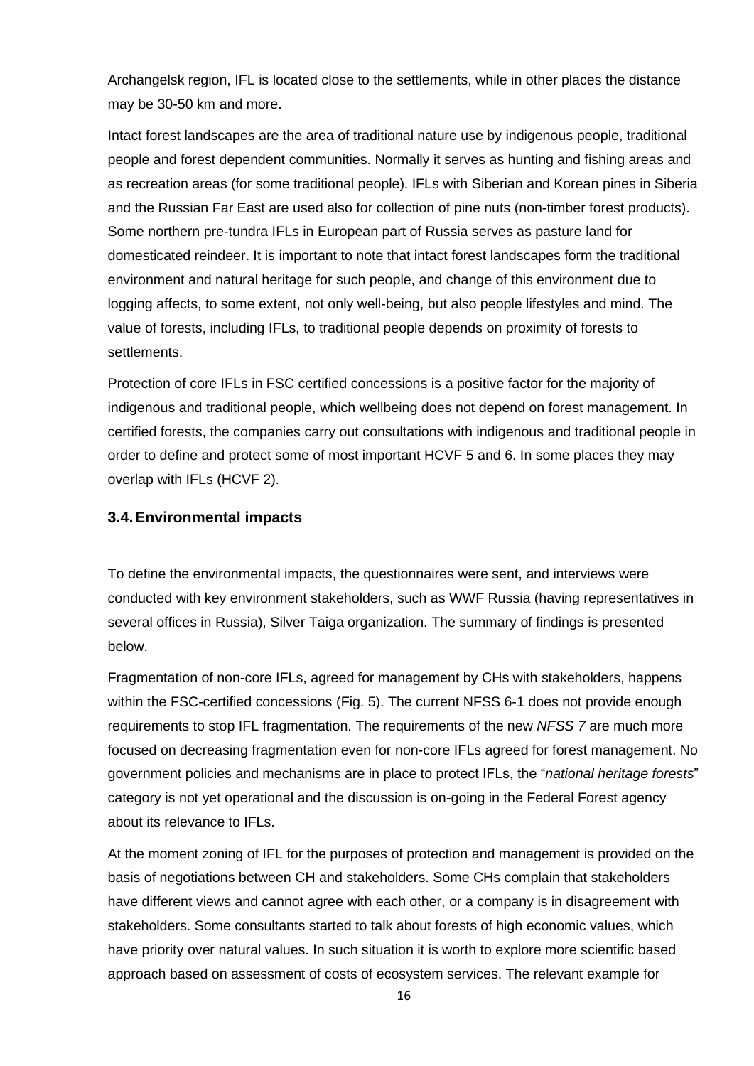Archangelsk region, IFL is located close to the settlements, while in other places the distance may be 30-50 km and more.

Intact forest landscapes are the area of traditional nature use by indigenous people, traditional people and forest dependent communities. Normally it serves as hunting and fishing areas and as recreation areas (for some traditional people). IFLs with Siberian and Korean pines in Siberia and the Russian Far East are used also for collection of pine nuts (non-timber forest products). Some northern pre-tundra IFLs in European part of Russia serves as pasture land for domesticated reindeer. It is important to note that intact forest landscapes form the traditional environment and natural heritage for such people, and change of this environment due to logging affects, to some extent, not only well-being, but also people lifestyles and mind. The value of forests, including IFLs, to traditional people depends on proximity of forests to settlements.

Protection of core IFLs in FSC certified concessions is a positive factor for the majority of indigenous and traditional people, which wellbeing does not depend on forest management. In certified forests, the companies carry out consultations with indigenous and traditional people in order to define and protect some of most important HCVF 5 and 6. In some places they may overlap with IFLs (HCVF 2).

#### <span id="page-15-0"></span>**3.4.Environmental impacts**

To define the environmental impacts, the questionnaires were sent, and interviews were conducted with key environment stakeholders, such as WWF Russia (having representatives in several offices in Russia), Silver Taiga organization. The summary of findings is presented below.

Fragmentation of non-core IFLs, agreed for management by CHs with stakeholders, happens within the FSC-certified concessions (Fig. 5). The current NFSS 6-1 does not provide enough requirements to stop IFL fragmentation. The requirements of the new *NFSS 7* are much more focused on decreasing fragmentation even for non-core IFLs agreed for forest management. No government policies and mechanisms are in place to protect IFLs, the "*national heritage forests*" category is not yet operational and the discussion is on-going in the Federal Forest agency about its relevance to IFLs.

At the moment zoning of IFL for the purposes of protection and management is provided on the basis of negotiations between CH and stakeholders. Some CHs complain that stakeholders have different views and cannot agree with each other, or a company is in disagreement with stakeholders. Some consultants started to talk about forests of high economic values, which have priority over natural values. In such situation it is worth to explore more scientific based approach based on assessment of costs of ecosystem services. The relevant example for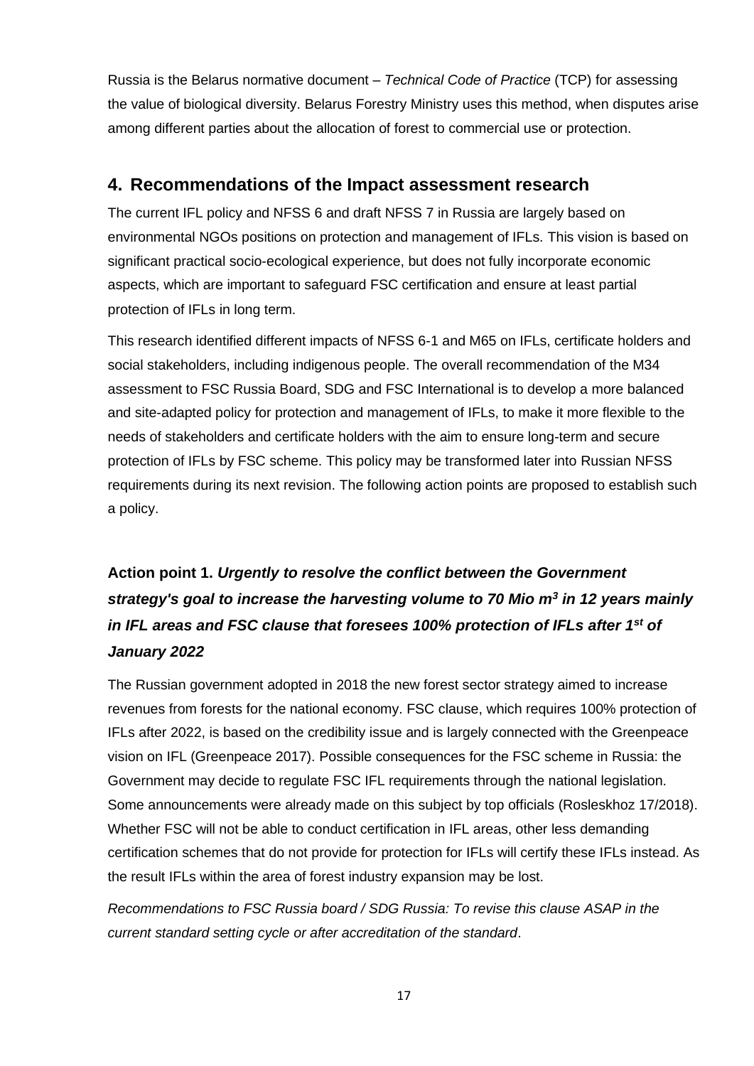Russia is the Belarus normative document – *Technical Code of Practice* (TCP) for assessing the value of biological diversity. Belarus Forestry Ministry uses this method, when disputes arise among different parties about the allocation of forest to commercial use or protection.

### <span id="page-16-0"></span>**4. Recommendations of the Impact assessment research**

The current IFL policy and NFSS 6 and draft NFSS 7 in Russia are largely based on environmental NGOs positions on protection and management of IFLs. This vision is based on significant practical socio-ecological experience, but does not fully incorporate economic aspects, which are important to safeguard FSC certification and ensure at least partial protection of IFLs in long term.

This research identified different impacts of NFSS 6-1 and M65 on IFLs, certificate holders and social stakeholders, including indigenous people. The overall recommendation of the M34 assessment to FSC Russia Board, SDG and FSC International is to develop a more balanced and site-adapted policy for protection and management of IFLs, to make it more flexible to the needs of stakeholders and certificate holders with the aim to ensure long-term and secure protection of IFLs by FSC scheme. This policy may be transformed later into Russian NFSS requirements during its next revision. The following action points are proposed to establish such a policy.

# **Action point 1.** *Urgently to resolve the conflict between the Government strategy's goal to increase the harvesting volume to 70 Mio m<sup>3</sup> in 12 years mainly in IFL areas and FSC clause that foresees 100% protection of IFLs after 1st of January 2022*

The Russian government adopted in 2018 the new forest sector strategy aimed to increase revenues from forests for the national economy. FSC clause, which requires 100% protection of IFLs after 2022, is based on the credibility issue and is largely connected with the Greenpeace vision on IFL (Greenpeace 2017). Possible consequences for the FSC scheme in Russia: the Government may decide to regulate FSC IFL requirements through the national legislation. Some announcements were already made on this subject by top officials (Rosleskhoz 17/2018). Whether FSC will not be able to conduct certification in IFL areas, other less demanding certification schemes that do not provide for protection for IFLs will certify these IFLs instead. As the result IFLs within the area of forest industry expansion may be lost.

*Recommendations to FSC Russia board / SDG Russia: To revise this clause ASAP in the current standard setting cycle or after accreditation of the standard*.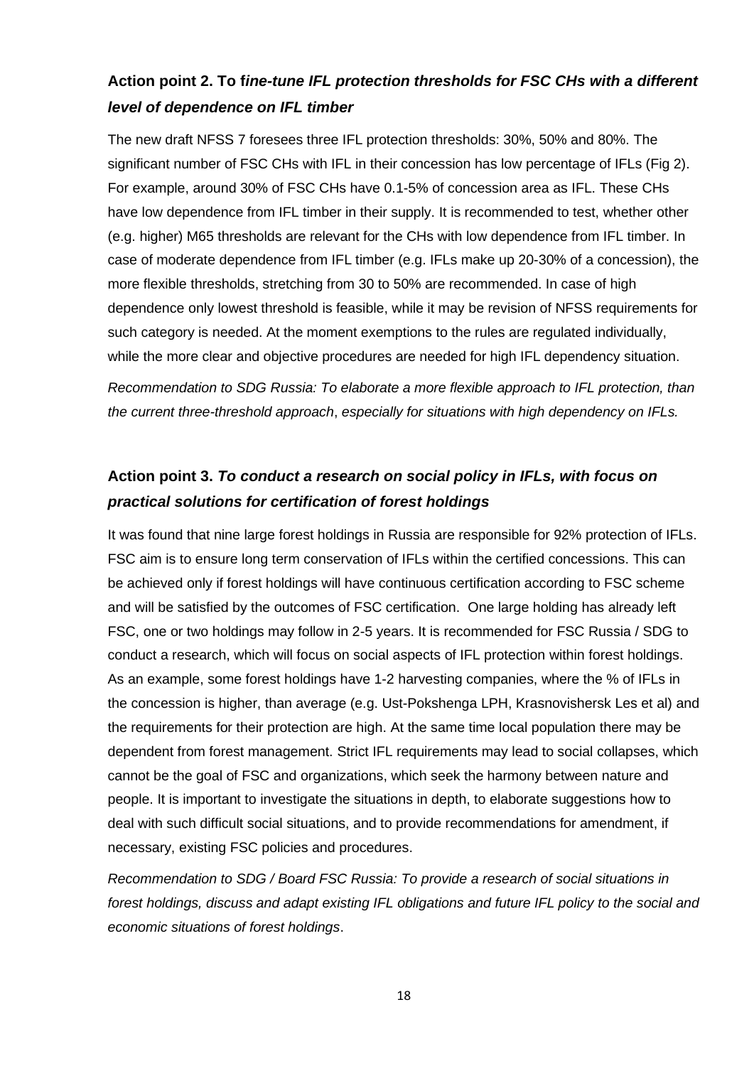### **Action point 2. To f***ine-tune IFL protection thresholds for FSC CHs with a different level of dependence on IFL timber*

The new draft NFSS 7 foresees three IFL protection thresholds: 30%, 50% and 80%. The significant number of FSC CHs with IFL in their concession has low percentage of IFLs (Fig 2). For example, around 30% of FSC CHs have 0.1-5% of concession area as IFL. These CHs have low dependence from IFL timber in their supply. It is recommended to test, whether other (e.g. higher) M65 thresholds are relevant for the CHs with low dependence from IFL timber. In case of moderate dependence from IFL timber (e.g. IFLs make up 20-30% of a concession), the more flexible thresholds, stretching from 30 to 50% are recommended. In case of high dependence only lowest threshold is feasible, while it may be revision of NFSS requirements for such category is needed. At the moment exemptions to the rules are regulated individually, while the more clear and objective procedures are needed for high IFL dependency situation.

*Recommendation to SDG Russia: To elaborate a more flexible approach to IFL protection, than the current three-threshold approach*, *especially for situations with high dependency on IFLs.*

## **Action point 3.** *To conduct a research on social policy in IFLs, with focus on practical solutions for certification of forest holdings*

It was found that nine large forest holdings in Russia are responsible for 92% protection of IFLs. FSC aim is to ensure long term conservation of IFLs within the certified concessions. This can be achieved only if forest holdings will have continuous certification according to FSC scheme and will be satisfied by the outcomes of FSC certification. One large holding has already left FSC, one or two holdings may follow in 2-5 years. It is recommended for FSC Russia / SDG to conduct a research, which will focus on social aspects of IFL protection within forest holdings. As an example, some forest holdings have 1-2 harvesting companies, where the % of IFLs in the concession is higher, than average (e.g. Ust-Pokshenga LPH, Krasnovishersk Les et al) and the requirements for their protection are high. At the same time local population there may be dependent from forest management. Strict IFL requirements may lead to social collapses, which cannot be the goal of FSC and organizations, which seek the harmony between nature and people. It is important to investigate the situations in depth, to elaborate suggestions how to deal with such difficult social situations, and to provide recommendations for amendment, if necessary, existing FSC policies and procedures.

*Recommendation to SDG / Board FSC Russia: To provide a research of social situations in forest holdings, discuss and adapt existing IFL obligations and future IFL policy to the social and economic situations of forest holdings*.

18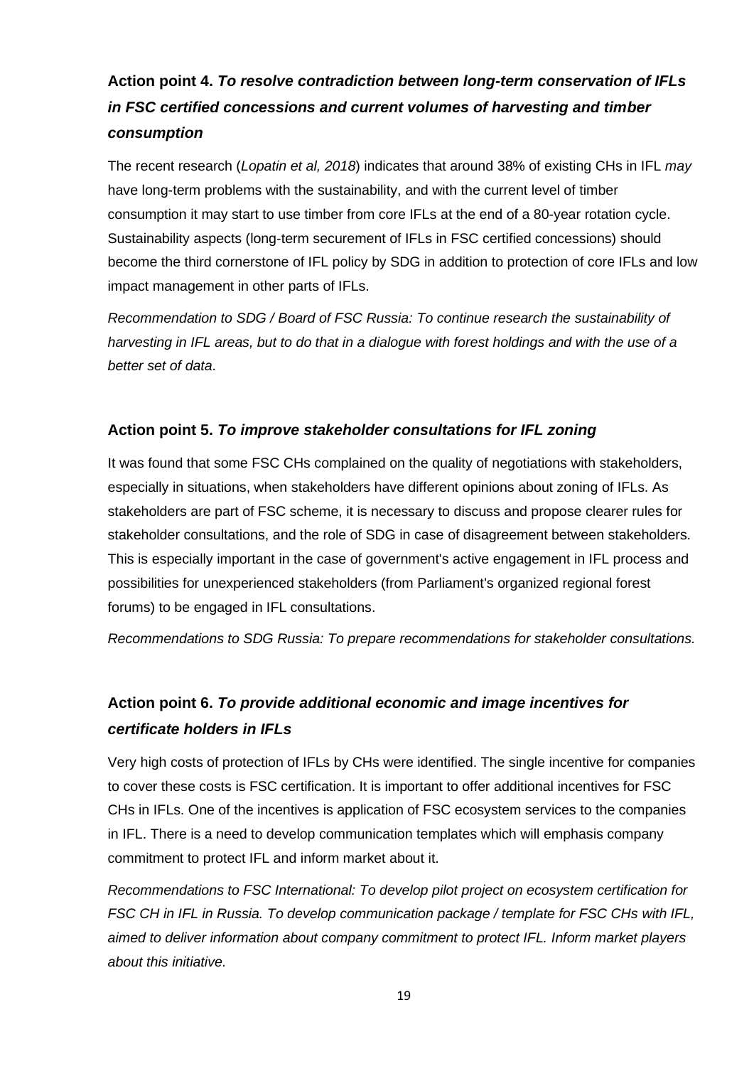# **Action point 4.** *To resolve contradiction between long-term conservation of IFLs in FSC certified concessions and current volumes of harvesting and timber consumption*

The recent research (*Lopatin et al, 2018*) indicates that around 38% of existing CHs in IFL *may* have long-term problems with the sustainability, and with the current level of timber consumption it may start to use timber from core IFLs at the end of a 80-year rotation cycle. Sustainability aspects (long-term securement of IFLs in FSC certified concessions) should become the third cornerstone of IFL policy by SDG in addition to protection of core IFLs and low impact management in other parts of IFLs.

*Recommendation to SDG / Board of FSC Russia: To continue research the sustainability of harvesting in IFL areas, but to do that in a dialogue with forest holdings and with the use of a better set of data*.

#### **Action point 5.** *To improve stakeholder consultations for IFL zoning*

It was found that some FSC CHs complained on the quality of negotiations with stakeholders, especially in situations, when stakeholders have different opinions about zoning of IFLs. As stakeholders are part of FSC scheme, it is necessary to discuss and propose clearer rules for stakeholder consultations, and the role of SDG in case of disagreement between stakeholders. This is especially important in the case of government's active engagement in IFL process and possibilities for unexperienced stakeholders (from Parliament's organized regional forest forums) to be engaged in IFL consultations.

*Recommendations to SDG Russia: To prepare recommendations for stakeholder consultations.*

## **Action point 6.** *To provide additional economic and image incentives for certificate holders in IFLs*

Very high costs of protection of IFLs by CHs were identified. The single incentive for companies to cover these costs is FSC certification. It is important to offer additional incentives for FSC CHs in IFLs. One of the incentives is application of FSC ecosystem services to the companies in IFL. There is a need to develop communication templates which will emphasis company commitment to protect IFL and inform market about it.

*Recommendations to FSC International: To develop pilot project on ecosystem certification for FSC CH in IFL in Russia. To develop communication package / template for FSC CHs with IFL, aimed to deliver information about company commitment to protect IFL. Inform market players about this initiative.*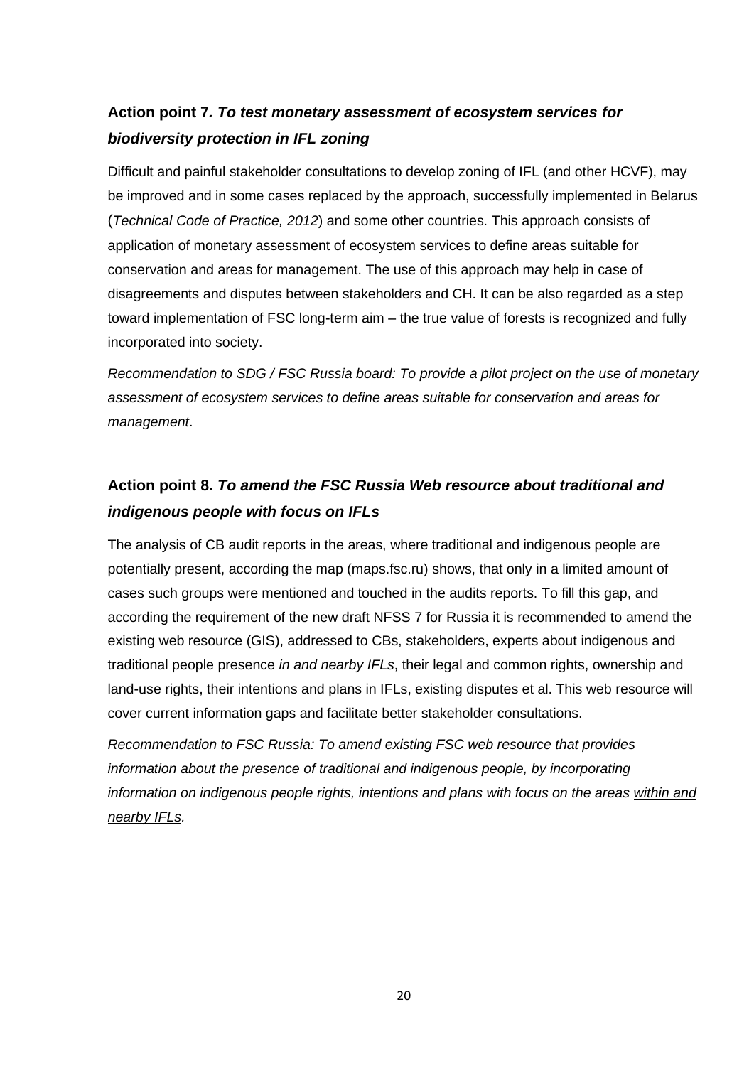## **Action point 7***. To test monetary assessment of ecosystem services for biodiversity protection in IFL zoning*

Difficult and painful stakeholder consultations to develop zoning of IFL (and other HCVF), may be improved and in some cases replaced by the approach, successfully implemented in Belarus (*[Technical](http://ecoinv.by/images/pdf/tkp_fond/_17.02-10-2012_.pdf) Code of Practice, 2012*) and some other countries. This approach consists of application of monetary assessment of ecosystem services to define areas suitable for conservation and areas for management. The use of this approach may help in case of disagreements and disputes between stakeholders and CH. It can be also regarded as a step toward implementation of FSC long-term aim – the true value of forests is recognized and fully incorporated into society.

*Recommendation to SDG / FSC Russia board: To provide a pilot project on the use of monetary assessment of ecosystem services to define areas suitable for conservation and areas for management*.

## **Action point 8.** *To amend the FSC Russia Web resource about traditional and indigenous people with focus on IFLs*

The analysis of CB audit reports in the areas, where traditional and indigenous people are potentially present, according the map (maps.fsc.ru) shows, that only in a limited amount of cases such groups were mentioned and touched in the audits reports. To fill this gap, and according the requirement of the new draft NFSS 7 for Russia it is recommended to amend the existing web resource (GIS), addressed to CBs, stakeholders, experts about indigenous and traditional people presence *in and nearby IFLs*, their legal and common rights, ownership and land-use rights, their intentions and plans in IFLs, existing disputes et al. This web resource will cover current information gaps and facilitate better stakeholder consultations.

*Recommendation to FSC Russia: To amend existing FSC web resource that provides information about the presence of traditional and indigenous people, by incorporating information on indigenous people rights, intentions and plans with focus on the areas within and nearby IFLs.*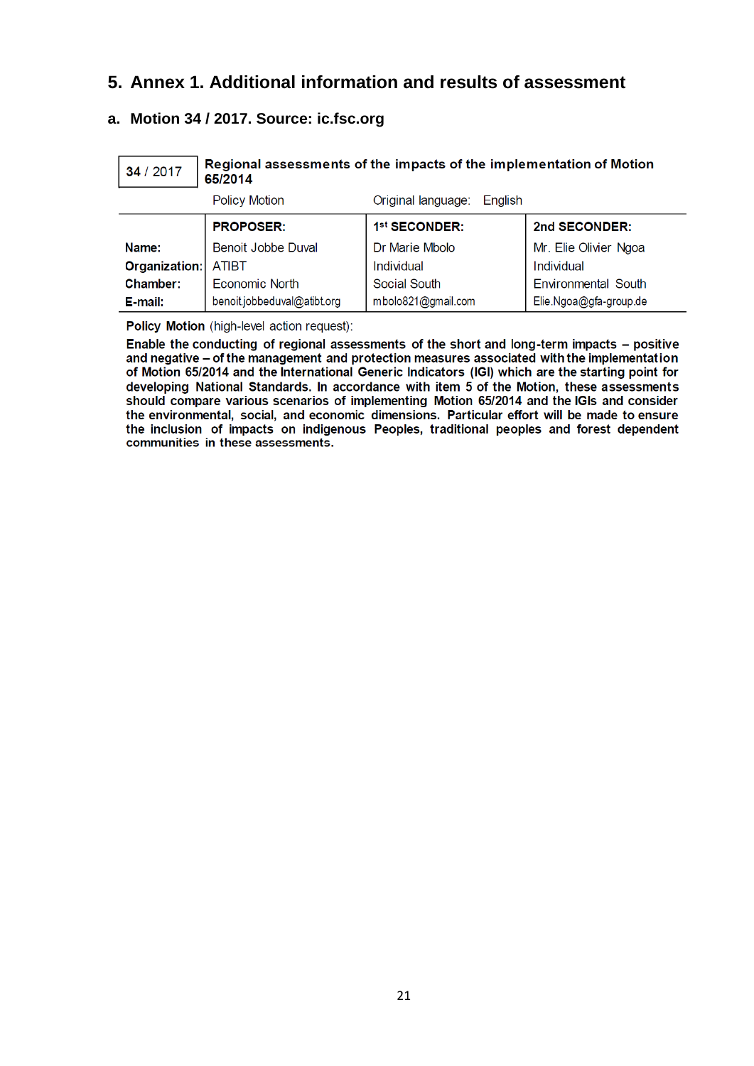### <span id="page-20-0"></span>**5. Annex 1. Additional information and results of assessment**

### <span id="page-20-1"></span>**a. Motion 34 / 2017. Source: ic.fsc.org**

| Regional assessments of the impacts of the implementation of Motion<br>34 / 2017<br>65/2014 |                             |                               |                            |
|---------------------------------------------------------------------------------------------|-----------------------------|-------------------------------|----------------------------|
|                                                                                             | <b>Policy Motion</b>        | Original language:<br>English |                            |
|                                                                                             | <b>PROPOSER:</b>            | 1st SECONDER:                 | 2nd SECONDER:              |
| Name:                                                                                       | Benoit Jobbe Duval          | Dr Marie Mbolo                | Mr. Elie Olivier Ngoa      |
| Organization:                                                                               | <b>ATIBT</b>                | Individual                    | Individual                 |
| Chamber:                                                                                    | <b>Economic North</b>       | Social South                  | <b>Environmental South</b> |
| E-mail:                                                                                     | benoit.jobbeduval@atibt.org | mbolo821@gmail.com            | Elie.Ngoa@gfa-group.de     |

Policy Motion (high-level action request):

Enable the conducting of regional assessments of the short and long-term impacts - positive and negative - of the management and protection measures associated with the implementation of Motion 65/2014 and the International Generic Indicators (IGI) which are the starting point for developing National Standards. In accordance with item 5 of the Motion, these assessments should compare various scenarios of implementing Motion 65/2014 and the IGIs and consider the environmental, social, and economic dimensions. Particular effort will be made to ensure the inclusion of impacts on indigenous Peoples, traditional peoples and forest dependent communities in these assessments.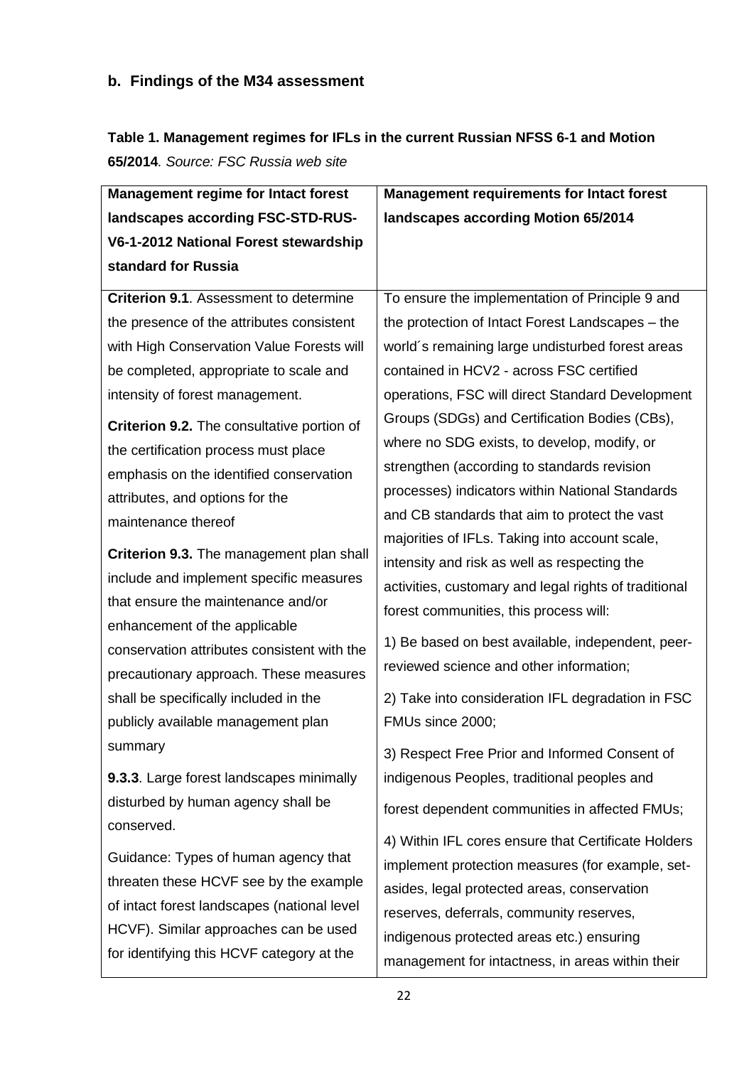### <span id="page-21-0"></span>**b. Findings of the M34 assessment**

# **Table 1. Management regimes for IFLs in the current Russian NFSS 6-1 and Motion**

**65/2014***. Source: FSC Russia web site*

| landscapes according FSC-STD-RUS-<br>landscapes according Motion 65/2014<br>V6-1-2012 National Forest stewardship<br>standard for Russia<br><b>Criterion 9.1.</b> Assessment to determine<br>To ensure the implementation of Principle 9 and<br>the presence of the attributes consistent<br>the protection of Intact Forest Landscapes – the<br>with High Conservation Value Forests will<br>world's remaining large undisturbed forest areas<br>be completed, appropriate to scale and<br>contained in HCV2 - across FSC certified<br>operations, FSC will direct Standard Development<br>intensity of forest management.<br>Groups (SDGs) and Certification Bodies (CBs),<br>Criterion 9.2. The consultative portion of<br>where no SDG exists, to develop, modify, or<br>the certification process must place<br>strengthen (according to standards revision<br>emphasis on the identified conservation<br>processes) indicators within National Standards<br>attributes, and options for the<br>and CB standards that aim to protect the vast<br>maintenance thereof<br>majorities of IFLs. Taking into account scale,<br>Criterion 9.3. The management plan shall<br>intensity and risk as well as respecting the<br>include and implement specific measures<br>activities, customary and legal rights of traditional<br>that ensure the maintenance and/or<br>forest communities, this process will:<br>enhancement of the applicable<br>1) Be based on best available, independent, peer-<br>conservation attributes consistent with the<br>reviewed science and other information;<br>precautionary approach. These measures<br>2) Take into consideration IFL degradation in FSC<br>shall be specifically included in the<br>FMUs since 2000;<br>publicly available management plan<br>summary<br>3) Respect Free Prior and Informed Consent of<br>9.3.3. Large forest landscapes minimally<br>indigenous Peoples, traditional peoples and | <b>Management regime for Intact forest</b> | <b>Management requirements for Intact forest</b> |
|------------------------------------------------------------------------------------------------------------------------------------------------------------------------------------------------------------------------------------------------------------------------------------------------------------------------------------------------------------------------------------------------------------------------------------------------------------------------------------------------------------------------------------------------------------------------------------------------------------------------------------------------------------------------------------------------------------------------------------------------------------------------------------------------------------------------------------------------------------------------------------------------------------------------------------------------------------------------------------------------------------------------------------------------------------------------------------------------------------------------------------------------------------------------------------------------------------------------------------------------------------------------------------------------------------------------------------------------------------------------------------------------------------------------------------------------------------------------------------------------------------------------------------------------------------------------------------------------------------------------------------------------------------------------------------------------------------------------------------------------------------------------------------------------------------------------------------------------------------------------------------------------------------------------------------------------------|--------------------------------------------|--------------------------------------------------|
|                                                                                                                                                                                                                                                                                                                                                                                                                                                                                                                                                                                                                                                                                                                                                                                                                                                                                                                                                                                                                                                                                                                                                                                                                                                                                                                                                                                                                                                                                                                                                                                                                                                                                                                                                                                                                                                                                                                                                      |                                            |                                                  |
|                                                                                                                                                                                                                                                                                                                                                                                                                                                                                                                                                                                                                                                                                                                                                                                                                                                                                                                                                                                                                                                                                                                                                                                                                                                                                                                                                                                                                                                                                                                                                                                                                                                                                                                                                                                                                                                                                                                                                      |                                            |                                                  |
|                                                                                                                                                                                                                                                                                                                                                                                                                                                                                                                                                                                                                                                                                                                                                                                                                                                                                                                                                                                                                                                                                                                                                                                                                                                                                                                                                                                                                                                                                                                                                                                                                                                                                                                                                                                                                                                                                                                                                      |                                            |                                                  |
|                                                                                                                                                                                                                                                                                                                                                                                                                                                                                                                                                                                                                                                                                                                                                                                                                                                                                                                                                                                                                                                                                                                                                                                                                                                                                                                                                                                                                                                                                                                                                                                                                                                                                                                                                                                                                                                                                                                                                      |                                            |                                                  |
|                                                                                                                                                                                                                                                                                                                                                                                                                                                                                                                                                                                                                                                                                                                                                                                                                                                                                                                                                                                                                                                                                                                                                                                                                                                                                                                                                                                                                                                                                                                                                                                                                                                                                                                                                                                                                                                                                                                                                      |                                            |                                                  |
|                                                                                                                                                                                                                                                                                                                                                                                                                                                                                                                                                                                                                                                                                                                                                                                                                                                                                                                                                                                                                                                                                                                                                                                                                                                                                                                                                                                                                                                                                                                                                                                                                                                                                                                                                                                                                                                                                                                                                      |                                            |                                                  |
|                                                                                                                                                                                                                                                                                                                                                                                                                                                                                                                                                                                                                                                                                                                                                                                                                                                                                                                                                                                                                                                                                                                                                                                                                                                                                                                                                                                                                                                                                                                                                                                                                                                                                                                                                                                                                                                                                                                                                      |                                            |                                                  |
|                                                                                                                                                                                                                                                                                                                                                                                                                                                                                                                                                                                                                                                                                                                                                                                                                                                                                                                                                                                                                                                                                                                                                                                                                                                                                                                                                                                                                                                                                                                                                                                                                                                                                                                                                                                                                                                                                                                                                      |                                            |                                                  |
|                                                                                                                                                                                                                                                                                                                                                                                                                                                                                                                                                                                                                                                                                                                                                                                                                                                                                                                                                                                                                                                                                                                                                                                                                                                                                                                                                                                                                                                                                                                                                                                                                                                                                                                                                                                                                                                                                                                                                      |                                            |                                                  |
|                                                                                                                                                                                                                                                                                                                                                                                                                                                                                                                                                                                                                                                                                                                                                                                                                                                                                                                                                                                                                                                                                                                                                                                                                                                                                                                                                                                                                                                                                                                                                                                                                                                                                                                                                                                                                                                                                                                                                      |                                            |                                                  |
|                                                                                                                                                                                                                                                                                                                                                                                                                                                                                                                                                                                                                                                                                                                                                                                                                                                                                                                                                                                                                                                                                                                                                                                                                                                                                                                                                                                                                                                                                                                                                                                                                                                                                                                                                                                                                                                                                                                                                      |                                            |                                                  |
|                                                                                                                                                                                                                                                                                                                                                                                                                                                                                                                                                                                                                                                                                                                                                                                                                                                                                                                                                                                                                                                                                                                                                                                                                                                                                                                                                                                                                                                                                                                                                                                                                                                                                                                                                                                                                                                                                                                                                      |                                            |                                                  |
|                                                                                                                                                                                                                                                                                                                                                                                                                                                                                                                                                                                                                                                                                                                                                                                                                                                                                                                                                                                                                                                                                                                                                                                                                                                                                                                                                                                                                                                                                                                                                                                                                                                                                                                                                                                                                                                                                                                                                      |                                            |                                                  |
|                                                                                                                                                                                                                                                                                                                                                                                                                                                                                                                                                                                                                                                                                                                                                                                                                                                                                                                                                                                                                                                                                                                                                                                                                                                                                                                                                                                                                                                                                                                                                                                                                                                                                                                                                                                                                                                                                                                                                      |                                            |                                                  |
|                                                                                                                                                                                                                                                                                                                                                                                                                                                                                                                                                                                                                                                                                                                                                                                                                                                                                                                                                                                                                                                                                                                                                                                                                                                                                                                                                                                                                                                                                                                                                                                                                                                                                                                                                                                                                                                                                                                                                      |                                            |                                                  |
|                                                                                                                                                                                                                                                                                                                                                                                                                                                                                                                                                                                                                                                                                                                                                                                                                                                                                                                                                                                                                                                                                                                                                                                                                                                                                                                                                                                                                                                                                                                                                                                                                                                                                                                                                                                                                                                                                                                                                      |                                            |                                                  |
|                                                                                                                                                                                                                                                                                                                                                                                                                                                                                                                                                                                                                                                                                                                                                                                                                                                                                                                                                                                                                                                                                                                                                                                                                                                                                                                                                                                                                                                                                                                                                                                                                                                                                                                                                                                                                                                                                                                                                      |                                            |                                                  |
|                                                                                                                                                                                                                                                                                                                                                                                                                                                                                                                                                                                                                                                                                                                                                                                                                                                                                                                                                                                                                                                                                                                                                                                                                                                                                                                                                                                                                                                                                                                                                                                                                                                                                                                                                                                                                                                                                                                                                      |                                            |                                                  |
|                                                                                                                                                                                                                                                                                                                                                                                                                                                                                                                                                                                                                                                                                                                                                                                                                                                                                                                                                                                                                                                                                                                                                                                                                                                                                                                                                                                                                                                                                                                                                                                                                                                                                                                                                                                                                                                                                                                                                      |                                            |                                                  |
|                                                                                                                                                                                                                                                                                                                                                                                                                                                                                                                                                                                                                                                                                                                                                                                                                                                                                                                                                                                                                                                                                                                                                                                                                                                                                                                                                                                                                                                                                                                                                                                                                                                                                                                                                                                                                                                                                                                                                      |                                            |                                                  |
|                                                                                                                                                                                                                                                                                                                                                                                                                                                                                                                                                                                                                                                                                                                                                                                                                                                                                                                                                                                                                                                                                                                                                                                                                                                                                                                                                                                                                                                                                                                                                                                                                                                                                                                                                                                                                                                                                                                                                      |                                            |                                                  |
|                                                                                                                                                                                                                                                                                                                                                                                                                                                                                                                                                                                                                                                                                                                                                                                                                                                                                                                                                                                                                                                                                                                                                                                                                                                                                                                                                                                                                                                                                                                                                                                                                                                                                                                                                                                                                                                                                                                                                      |                                            |                                                  |
|                                                                                                                                                                                                                                                                                                                                                                                                                                                                                                                                                                                                                                                                                                                                                                                                                                                                                                                                                                                                                                                                                                                                                                                                                                                                                                                                                                                                                                                                                                                                                                                                                                                                                                                                                                                                                                                                                                                                                      |                                            |                                                  |
| disturbed by human agency shall be<br>forest dependent communities in affected FMUs;                                                                                                                                                                                                                                                                                                                                                                                                                                                                                                                                                                                                                                                                                                                                                                                                                                                                                                                                                                                                                                                                                                                                                                                                                                                                                                                                                                                                                                                                                                                                                                                                                                                                                                                                                                                                                                                                 |                                            |                                                  |
| conserved.<br>4) Within IFL cores ensure that Certificate Holders                                                                                                                                                                                                                                                                                                                                                                                                                                                                                                                                                                                                                                                                                                                                                                                                                                                                                                                                                                                                                                                                                                                                                                                                                                                                                                                                                                                                                                                                                                                                                                                                                                                                                                                                                                                                                                                                                    |                                            |                                                  |
| Guidance: Types of human agency that<br>implement protection measures (for example, set-                                                                                                                                                                                                                                                                                                                                                                                                                                                                                                                                                                                                                                                                                                                                                                                                                                                                                                                                                                                                                                                                                                                                                                                                                                                                                                                                                                                                                                                                                                                                                                                                                                                                                                                                                                                                                                                             |                                            |                                                  |
| threaten these HCVF see by the example<br>asides, legal protected areas, conservation                                                                                                                                                                                                                                                                                                                                                                                                                                                                                                                                                                                                                                                                                                                                                                                                                                                                                                                                                                                                                                                                                                                                                                                                                                                                                                                                                                                                                                                                                                                                                                                                                                                                                                                                                                                                                                                                |                                            |                                                  |
| of intact forest landscapes (national level<br>reserves, deferrals, community reserves,                                                                                                                                                                                                                                                                                                                                                                                                                                                                                                                                                                                                                                                                                                                                                                                                                                                                                                                                                                                                                                                                                                                                                                                                                                                                                                                                                                                                                                                                                                                                                                                                                                                                                                                                                                                                                                                              |                                            |                                                  |
| HCVF). Similar approaches can be used<br>indigenous protected areas etc.) ensuring                                                                                                                                                                                                                                                                                                                                                                                                                                                                                                                                                                                                                                                                                                                                                                                                                                                                                                                                                                                                                                                                                                                                                                                                                                                                                                                                                                                                                                                                                                                                                                                                                                                                                                                                                                                                                                                                   |                                            |                                                  |
| for identifying this HCVF category at the<br>management for intactness, in areas within their                                                                                                                                                                                                                                                                                                                                                                                                                                                                                                                                                                                                                                                                                                                                                                                                                                                                                                                                                                                                                                                                                                                                                                                                                                                                                                                                                                                                                                                                                                                                                                                                                                                                                                                                                                                                                                                        |                                            |                                                  |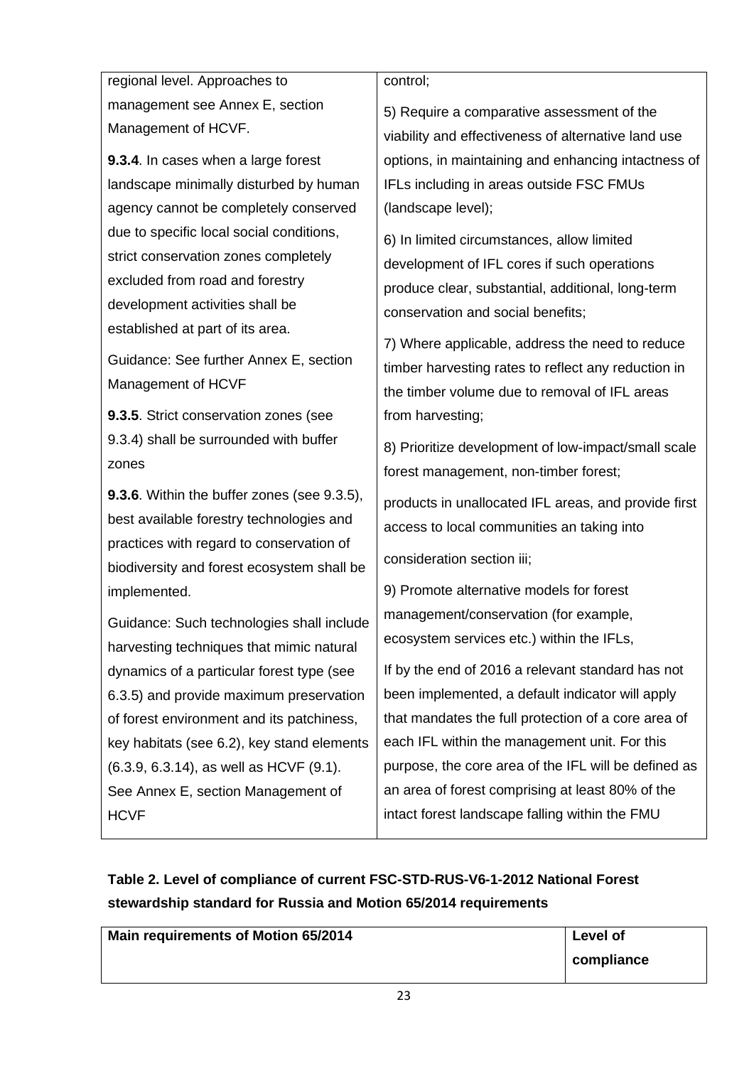regional level. Approaches to management see Annex E, section Management of HCVF.

**9.3.4**. In cases when a large forest landscape minimally disturbed by human agency cannot be completely conserved due to specific local social conditions, strict conservation zones completely excluded from road and forestry development activities shall be established at part of its area.

Guidance: See further Annex E, section Management of HCVF

**9.3.5**. Strict conservation zones (see 9.3.4) shall be surrounded with buffer zones

**9.3.6**. Within the buffer zones (see 9.3.5), best available forestry technologies and practices with regard to conservation of biodiversity and forest ecosystem shall be implemented.

Guidance: Such technologies shall include harvesting techniques that mimic natural dynamics of a particular forest type (see 6.3.5) and provide maximum preservation of forest environment and its patchiness, key habitats (see 6.2), key stand elements (6.3.9, 6.3.14), as well as HCVF (9.1). See Annex E, section Management of **HCVF** 

control;

5) Require a comparative assessment of the viability and effectiveness of alternative land use options, in maintaining and enhancing intactness of IFLs including in areas outside FSC FMUs (landscape level);

6) In limited circumstances, allow limited development of IFL cores if such operations produce clear, substantial, additional, long-term conservation and social benefits;

7) Where applicable, address the need to reduce timber harvesting rates to reflect any reduction in the timber volume due to removal of IFL areas from harvesting;

8) Prioritize development of low-impact/small scale forest management, non-timber forest;

products in unallocated IFL areas, and provide first access to local communities an taking into

consideration section iii;

9) Promote alternative models for forest management/conservation (for example, ecosystem services etc.) within the IFLs,

If by the end of 2016 a relevant standard has not been implemented, a default indicator will apply that mandates the full protection of a core area of each IFL within the management unit. For this purpose, the core area of the IFL will be defined as an area of forest comprising at least 80% of the intact forest landscape falling within the FMU

# **Table 2. Level of compliance of current FSC-STD-RUS-V6-1-2012 National Forest stewardship standard for Russia and Motion 65/2014 requirements**

**Main requirements of Motion 65/2014 Level of** 

| Level of   |  |
|------------|--|
| compliance |  |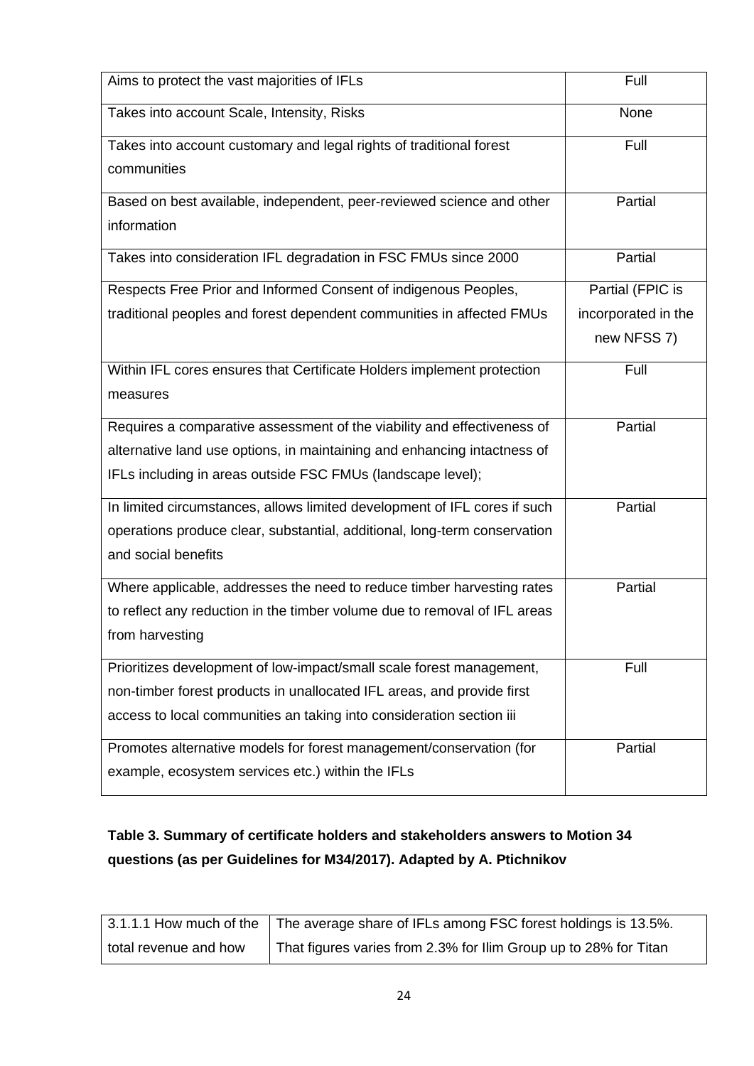| Aims to protect the vast majorities of IFLs                               | Full                |
|---------------------------------------------------------------------------|---------------------|
| Takes into account Scale, Intensity, Risks                                | None                |
| Takes into account customary and legal rights of traditional forest       | Full                |
| communities                                                               |                     |
| Based on best available, independent, peer-reviewed science and other     | Partial             |
| information                                                               |                     |
| Takes into consideration IFL degradation in FSC FMUs since 2000           | Partial             |
| Respects Free Prior and Informed Consent of indigenous Peoples,           | Partial (FPIC is    |
| traditional peoples and forest dependent communities in affected FMUs     | incorporated in the |
|                                                                           | new NFSS 7)         |
| Within IFL cores ensures that Certificate Holders implement protection    | Full                |
| measures                                                                  |                     |
| Requires a comparative assessment of the viability and effectiveness of   | Partial             |
| alternative land use options, in maintaining and enhancing intactness of  |                     |
| IFLs including in areas outside FSC FMUs (landscape level);               |                     |
| In limited circumstances, allows limited development of IFL cores if such | Partial             |
| operations produce clear, substantial, additional, long-term conservation |                     |
| and social benefits                                                       |                     |
| Where applicable, addresses the need to reduce timber harvesting rates    | Partial             |
| to reflect any reduction in the timber volume due to removal of IFL areas |                     |
| from harvesting                                                           |                     |
| Prioritizes development of low-impact/small scale forest management,      | Full                |
| non-timber forest products in unallocated IFL areas, and provide first    |                     |
| access to local communities an taking into consideration section iii      |                     |
| Promotes alternative models for forest management/conservation (for       | Partial             |
| example, ecosystem services etc.) within the IFLs                         |                     |

## **Table 3. Summary of certificate holders and stakeholders answers to Motion 34 questions (as per Guidelines for M34/2017). Adapted by A. Ptichnikov**

|                       | 3.1.1.1 How much of the The average share of IFLs among FSC forest holdings is 13.5%. |
|-----------------------|---------------------------------------------------------------------------------------|
| total revenue and how | That figures varies from 2.3% for Ilim Group up to 28% for Titan                      |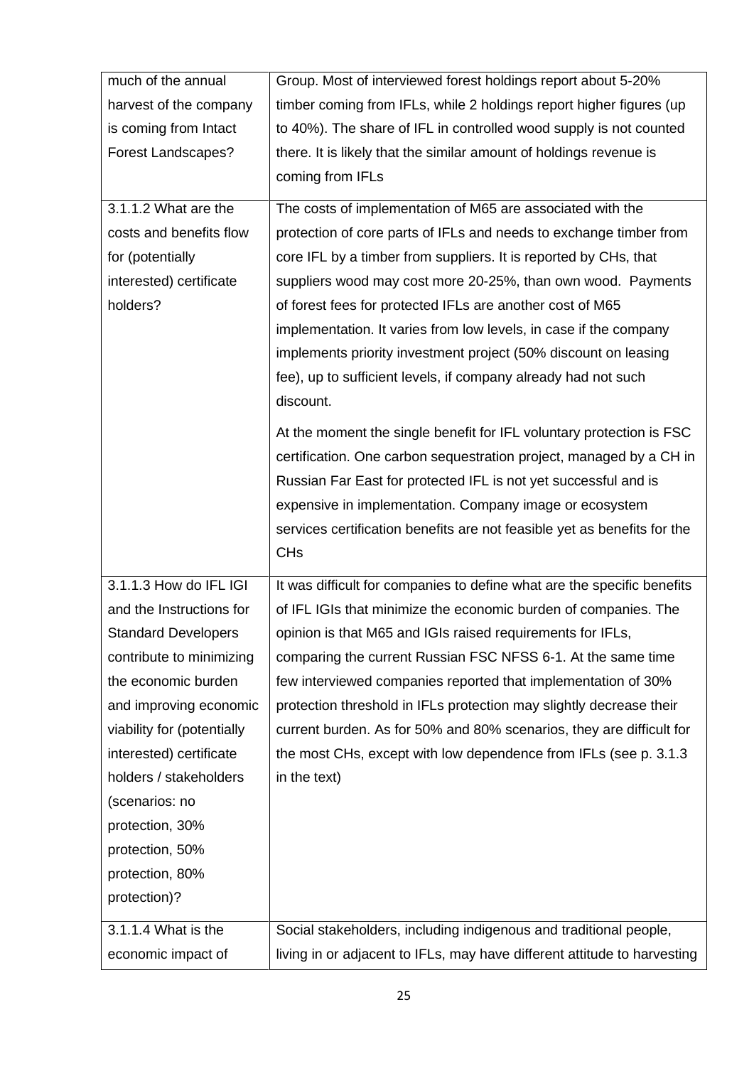| much of the annual         | Group. Most of interviewed forest holdings report about 5-20%            |
|----------------------------|--------------------------------------------------------------------------|
| harvest of the company     | timber coming from IFLs, while 2 holdings report higher figures (up      |
| is coming from Intact      | to 40%). The share of IFL in controlled wood supply is not counted       |
| <b>Forest Landscapes?</b>  | there. It is likely that the similar amount of holdings revenue is       |
|                            | coming from IFLs                                                         |
| 3.1.1.2 What are the       | The costs of implementation of M65 are associated with the               |
| costs and benefits flow    | protection of core parts of IFLs and needs to exchange timber from       |
| for (potentially           | core IFL by a timber from suppliers. It is reported by CHs, that         |
| interested) certificate    | suppliers wood may cost more 20-25%, than own wood. Payments             |
| holders?                   | of forest fees for protected IFLs are another cost of M65                |
|                            | implementation. It varies from low levels, in case if the company        |
|                            | implements priority investment project (50% discount on leasing          |
|                            | fee), up to sufficient levels, if company already had not such           |
|                            | discount.                                                                |
|                            | At the moment the single benefit for IFL voluntary protection is FSC     |
|                            | certification. One carbon sequestration project, managed by a CH in      |
|                            | Russian Far East for protected IFL is not yet successful and is          |
|                            | expensive in implementation. Company image or ecosystem                  |
|                            | services certification benefits are not feasible yet as benefits for the |
|                            | <b>CH<sub>s</sub></b>                                                    |
|                            |                                                                          |
| 3.1.1.3 How do IFL IGI     | It was difficult for companies to define what are the specific benefits  |
| and the Instructions for   | of IFL IGIs that minimize the economic burden of companies. The          |
| <b>Standard Developers</b> | opinion is that M65 and IGIs raised requirements for IFLs,               |
| contribute to minimizing   |                                                                          |
|                            | comparing the current Russian FSC NFSS 6-1. At the same time             |
| the economic burden        | few interviewed companies reported that implementation of 30%            |
| and improving economic     | protection threshold in IFLs protection may slightly decrease their      |
| viability for (potentially | current burden. As for 50% and 80% scenarios, they are difficult for     |
| interested) certificate    | the most CHs, except with low dependence from IFLs (see p. 3.1.3)        |
| holders / stakeholders     | in the text)                                                             |
| (scenarios: no             |                                                                          |
| protection, 30%            |                                                                          |
| protection, 50%            |                                                                          |
| protection, 80%            |                                                                          |
| protection)?               |                                                                          |
| 3.1.1.4 What is the        | Social stakeholders, including indigenous and traditional people,        |
| economic impact of         | living in or adjacent to IFLs, may have different attitude to harvesting |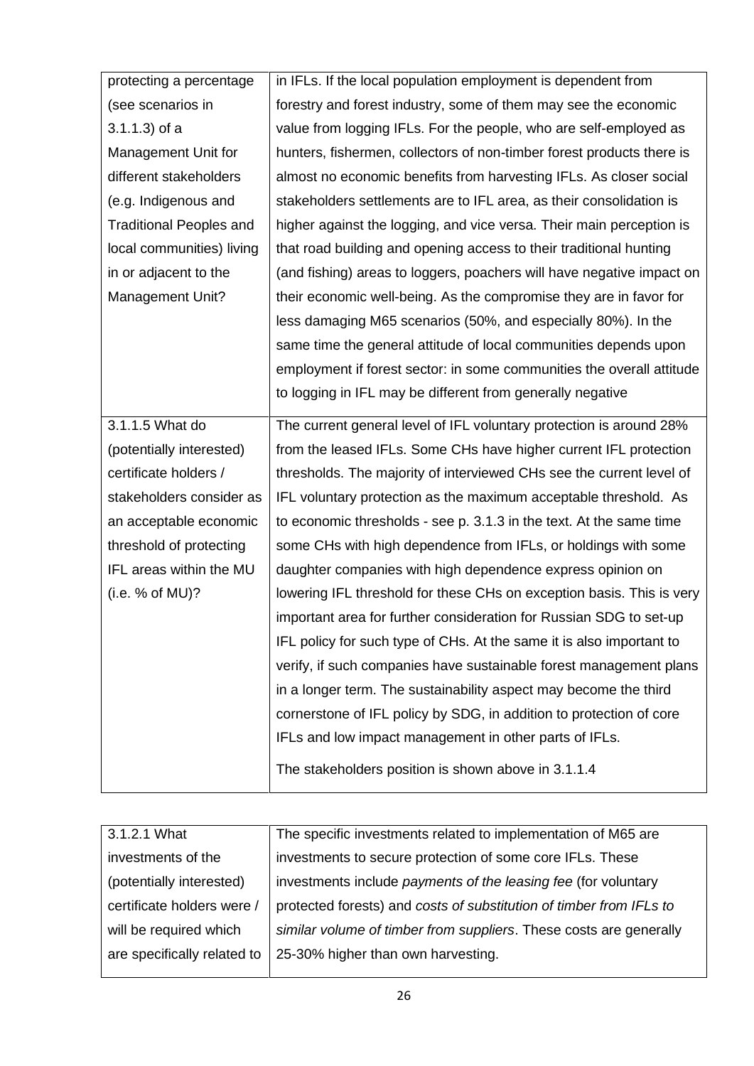| protecting a percentage        | in IFLs. If the local population employment is dependent from         |
|--------------------------------|-----------------------------------------------------------------------|
| (see scenarios in              | forestry and forest industry, some of them may see the economic       |
| $3.1.1.3$ ) of a               | value from logging IFLs. For the people, who are self-employed as     |
| Management Unit for            | hunters, fishermen, collectors of non-timber forest products there is |
| different stakeholders         | almost no economic benefits from harvesting IFLs. As closer social    |
| (e.g. Indigenous and           | stakeholders settlements are to IFL area, as their consolidation is   |
| <b>Traditional Peoples and</b> | higher against the logging, and vice versa. Their main perception is  |
| local communities) living      | that road building and opening access to their traditional hunting    |
| in or adjacent to the          | (and fishing) areas to loggers, poachers will have negative impact on |
| Management Unit?               | their economic well-being. As the compromise they are in favor for    |
|                                | less damaging M65 scenarios (50%, and especially 80%). In the         |
|                                | same time the general attitude of local communities depends upon      |
|                                | employment if forest sector: in some communities the overall attitude |
|                                | to logging in IFL may be different from generally negative            |
| 3.1.1.5 What do                | The current general level of IFL voluntary protection is around 28%   |
| (potentially interested)       | from the leased IFLs. Some CHs have higher current IFL protection     |
| certificate holders /          | thresholds. The majority of interviewed CHs see the current level of  |
| stakeholders consider as       | IFL voluntary protection as the maximum acceptable threshold. As      |
| an acceptable economic         | to economic thresholds - see p. 3.1.3 in the text. At the same time   |
| threshold of protecting        | some CHs with high dependence from IFLs, or holdings with some        |
| IFL areas within the MU        | daughter companies with high dependence express opinion on            |
| (i.e. % of MU)?                | lowering IFL threshold for these CHs on exception basis. This is very |
|                                | important area for further consideration for Russian SDG to set-up    |
|                                | IFL policy for such type of CHs. At the same it is also important to  |
|                                | verify, if such companies have sustainable forest management plans    |
|                                | in a longer term. The sustainability aspect may become the third      |
|                                | cornerstone of IFL policy by SDG, in addition to protection of core   |
|                                | IFLs and low impact management in other parts of IFLs.                |
|                                | The stakeholders position is shown above in 3.1.1.4                   |

| 3.1.2.1 What                | The specific investments related to implementation of M65 are       |
|-----------------------------|---------------------------------------------------------------------|
| investments of the          | investments to secure protection of some core IFLs. These           |
| (potentially interested)    | investments include payments of the leasing fee (for voluntary      |
| certificate holders were /  | protected forests) and costs of substitution of timber from IFLs to |
| will be required which      | similar volume of timber from suppliers. These costs are generally  |
| are specifically related to | 25-30% higher than own harvesting.                                  |
|                             |                                                                     |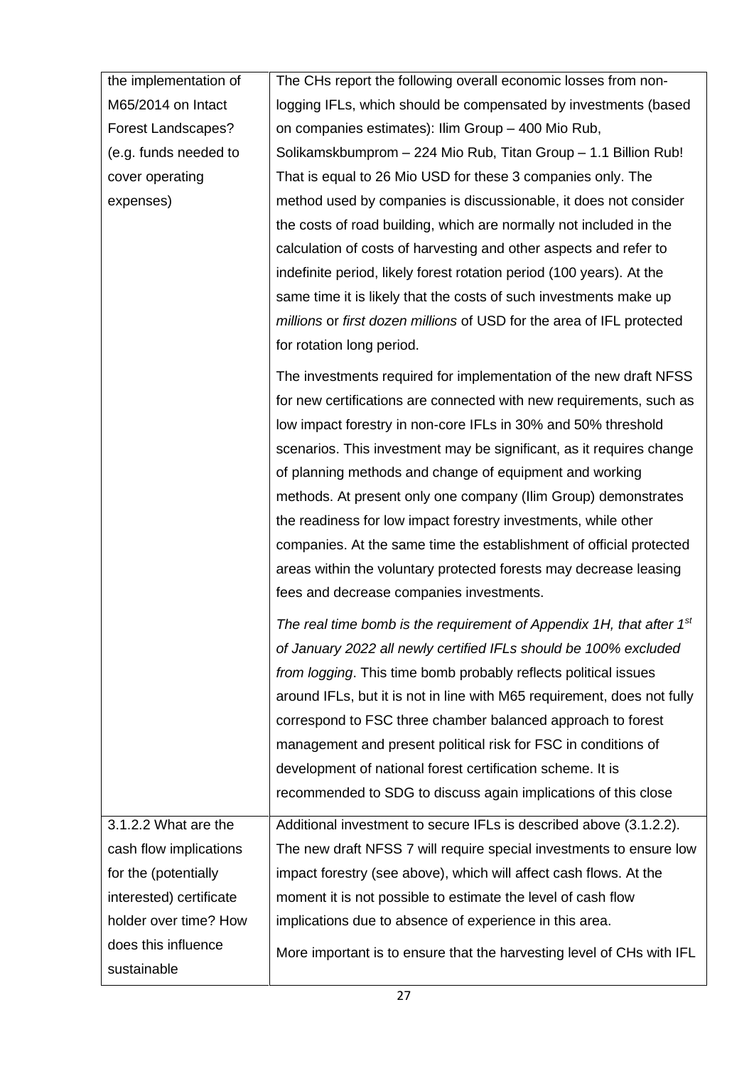| the implementation of     | The CHs report the following overall economic losses from non-          |
|---------------------------|-------------------------------------------------------------------------|
| M65/2014 on Intact        | logging IFLs, which should be compensated by investments (based         |
| <b>Forest Landscapes?</b> | on companies estimates): Ilim Group - 400 Mio Rub,                      |
| (e.g. funds needed to     | Solikamskbumprom - 224 Mio Rub, Titan Group - 1.1 Billion Rub!          |
| cover operating           | That is equal to 26 Mio USD for these 3 companies only. The             |
| expenses)                 | method used by companies is discussionable, it does not consider        |
|                           | the costs of road building, which are normally not included in the      |
|                           | calculation of costs of harvesting and other aspects and refer to       |
|                           | indefinite period, likely forest rotation period (100 years). At the    |
|                           | same time it is likely that the costs of such investments make up       |
|                           | millions or first dozen millions of USD for the area of IFL protected   |
|                           | for rotation long period.                                               |
|                           | The investments required for implementation of the new draft NFSS       |
|                           | for new certifications are connected with new requirements, such as     |
|                           | low impact forestry in non-core IFLs in 30% and 50% threshold           |
|                           | scenarios. This investment may be significant, as it requires change    |
|                           | of planning methods and change of equipment and working                 |
|                           | methods. At present only one company (Ilim Group) demonstrates          |
|                           | the readiness for low impact forestry investments, while other          |
|                           | companies. At the same time the establishment of official protected     |
|                           | areas within the voluntary protected forests may decrease leasing       |
|                           | fees and decrease companies investments.                                |
|                           | The real time bomb is the requirement of Appendix 1H, that after $1st$  |
|                           | of January 2022 all newly certified IFLs should be 100% excluded        |
|                           | from logging. This time bomb probably reflects political issues         |
|                           | around IFLs, but it is not in line with M65 requirement, does not fully |
|                           | correspond to FSC three chamber balanced approach to forest             |
|                           | management and present political risk for FSC in conditions of          |
|                           | development of national forest certification scheme. It is              |
|                           | recommended to SDG to discuss again implications of this close          |
| 3.1.2.2 What are the      | Additional investment to secure IFLs is described above (3.1.2.2).      |
| cash flow implications    | The new draft NFSS 7 will require special investments to ensure low     |
| for the (potentially      | impact forestry (see above), which will affect cash flows. At the       |
| interested) certificate   | moment it is not possible to estimate the level of cash flow            |
| holder over time? How     | implications due to absence of experience in this area.                 |
| does this influence       | More important is to ensure that the harvesting level of CHs with IFL   |
| sustainable               |                                                                         |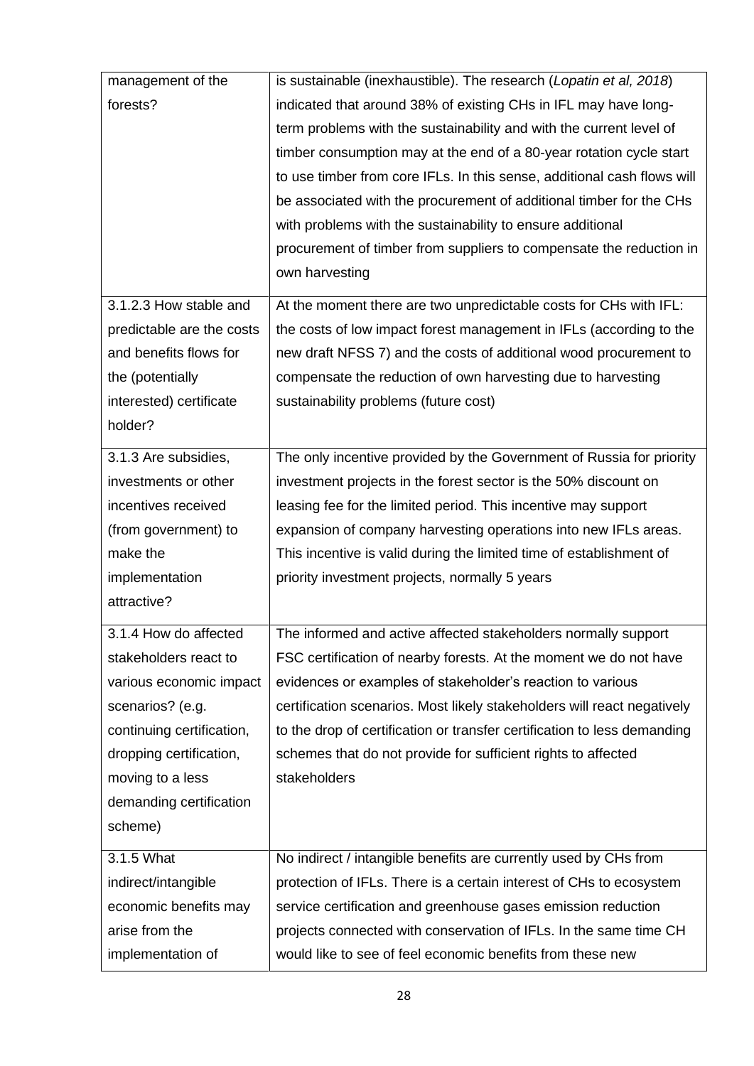| management of the         | is sustainable (inexhaustible). The research (Lopatin et al, 2018)       |  |  |
|---------------------------|--------------------------------------------------------------------------|--|--|
| forests?                  | indicated that around 38% of existing CHs in IFL may have long-          |  |  |
|                           | term problems with the sustainability and with the current level of      |  |  |
|                           | timber consumption may at the end of a 80-year rotation cycle start      |  |  |
|                           | to use timber from core IFLs. In this sense, additional cash flows will  |  |  |
|                           | be associated with the procurement of additional timber for the CHs      |  |  |
|                           | with problems with the sustainability to ensure additional               |  |  |
|                           | procurement of timber from suppliers to compensate the reduction in      |  |  |
|                           | own harvesting                                                           |  |  |
| 3.1.2.3 How stable and    | At the moment there are two unpredictable costs for CHs with IFL:        |  |  |
| predictable are the costs | the costs of low impact forest management in IFLs (according to the      |  |  |
| and benefits flows for    | new draft NFSS 7) and the costs of additional wood procurement to        |  |  |
| the (potentially          | compensate the reduction of own harvesting due to harvesting             |  |  |
| interested) certificate   | sustainability problems (future cost)                                    |  |  |
| holder?                   |                                                                          |  |  |
|                           |                                                                          |  |  |
| 3.1.3 Are subsidies,      | The only incentive provided by the Government of Russia for priority     |  |  |
| investments or other      | investment projects in the forest sector is the 50% discount on          |  |  |
| incentives received       | leasing fee for the limited period. This incentive may support           |  |  |
| (from government) to      | expansion of company harvesting operations into new IFLs areas.          |  |  |
| make the                  | This incentive is valid during the limited time of establishment of      |  |  |
| implementation            | priority investment projects, normally 5 years                           |  |  |
| attractive?               |                                                                          |  |  |
| 3.1.4 How do affected     | The informed and active affected stakeholders normally support           |  |  |
| stakeholders react to     | FSC certification of nearby forests. At the moment we do not have        |  |  |
| various economic impact   | evidences or examples of stakeholder's reaction to various               |  |  |
| scenarios? (e.g.          | certification scenarios. Most likely stakeholders will react negatively  |  |  |
| continuing certification, | to the drop of certification or transfer certification to less demanding |  |  |
| dropping certification,   | schemes that do not provide for sufficient rights to affected            |  |  |
| moving to a less          | stakeholders                                                             |  |  |
| demanding certification   |                                                                          |  |  |
| scheme)                   |                                                                          |  |  |
| 3.1.5 What                | No indirect / intangible benefits are currently used by CHs from         |  |  |
| indirect/intangible       | protection of IFLs. There is a certain interest of CHs to ecosystem      |  |  |
| economic benefits may     | service certification and greenhouse gases emission reduction            |  |  |
| arise from the            | projects connected with conservation of IFLs. In the same time CH        |  |  |
| implementation of         | would like to see of feel economic benefits from these new               |  |  |
|                           |                                                                          |  |  |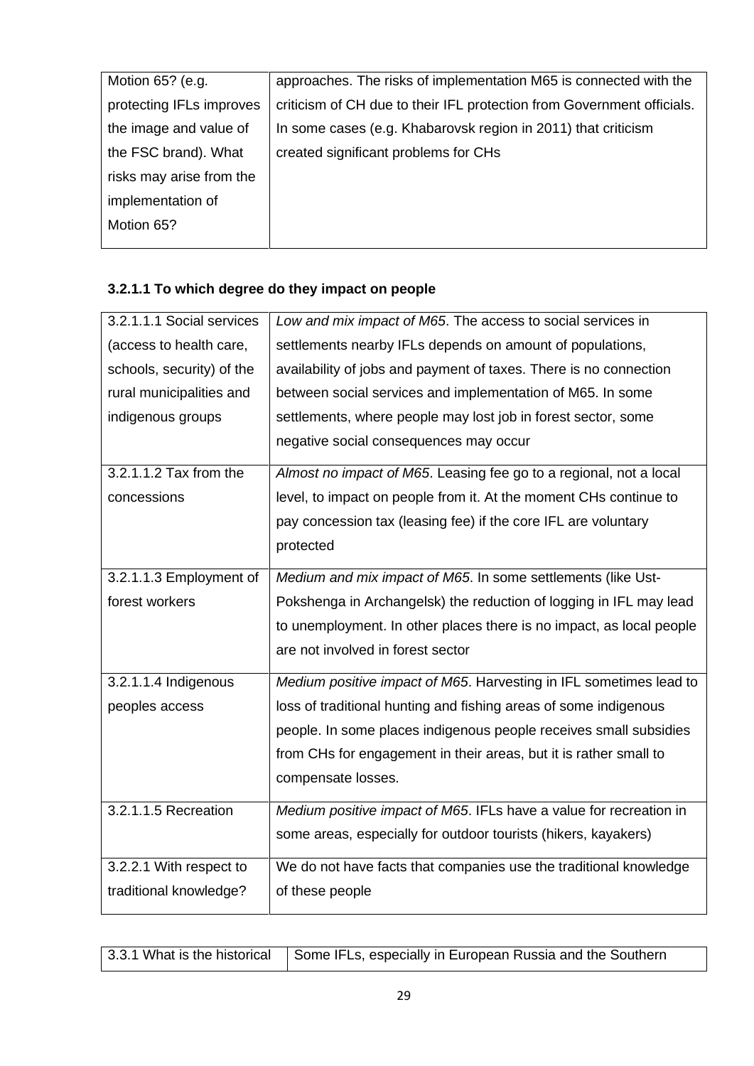| Motion 65? (e.g.         | approaches. The risks of implementation M65 is connected with the      |
|--------------------------|------------------------------------------------------------------------|
| protecting IFLs improves | criticism of CH due to their IFL protection from Government officials. |
| the image and value of   | In some cases (e.g. Khabarovsk region in 2011) that criticism          |
| the FSC brand). What     | created significant problems for CHs                                   |
| risks may arise from the |                                                                        |
| implementation of        |                                                                        |
| Motion 65?               |                                                                        |
|                          |                                                                        |

## **3.2.1.1 To which degree do they impact on people**

| 3.2.1.1.1 Social services | Low and mix impact of M65. The access to social services in          |
|---------------------------|----------------------------------------------------------------------|
| (access to health care,   | settlements nearby IFLs depends on amount of populations,            |
| schools, security) of the | availability of jobs and payment of taxes. There is no connection    |
| rural municipalities and  | between social services and implementation of M65. In some           |
| indigenous groups         | settlements, where people may lost job in forest sector, some        |
|                           | negative social consequences may occur                               |
| 3.2.1.1.2 Tax from the    | Almost no impact of M65. Leasing fee go to a regional, not a local   |
| concessions               | level, to impact on people from it. At the moment CHs continue to    |
|                           | pay concession tax (leasing fee) if the core IFL are voluntary       |
|                           | protected                                                            |
| 3.2.1.1.3 Employment of   | Medium and mix impact of M65. In some settlements (like Ust-         |
| forest workers            | Pokshenga in Archangelsk) the reduction of logging in IFL may lead   |
|                           | to unemployment. In other places there is no impact, as local people |
|                           | are not involved in forest sector                                    |
| 3.2.1.1.4 Indigenous      | Medium positive impact of M65. Harvesting in IFL sometimes lead to   |
| peoples access            | loss of traditional hunting and fishing areas of some indigenous     |
|                           | people. In some places indigenous people receives small subsidies    |
|                           | from CHs for engagement in their areas, but it is rather small to    |
|                           | compensate losses.                                                   |
| 3.2.1.1.5 Recreation      | Medium positive impact of M65. IFLs have a value for recreation in   |
|                           | some areas, especially for outdoor tourists (hikers, kayakers)       |
| 3.2.2.1 With respect to   | We do not have facts that companies use the traditional knowledge    |
| traditional knowledge?    | of these people                                                      |

|  | 3.3.1 What is the historical   Some IFLs, especially in European Russia and the Southern |
|--|------------------------------------------------------------------------------------------|
|--|------------------------------------------------------------------------------------------|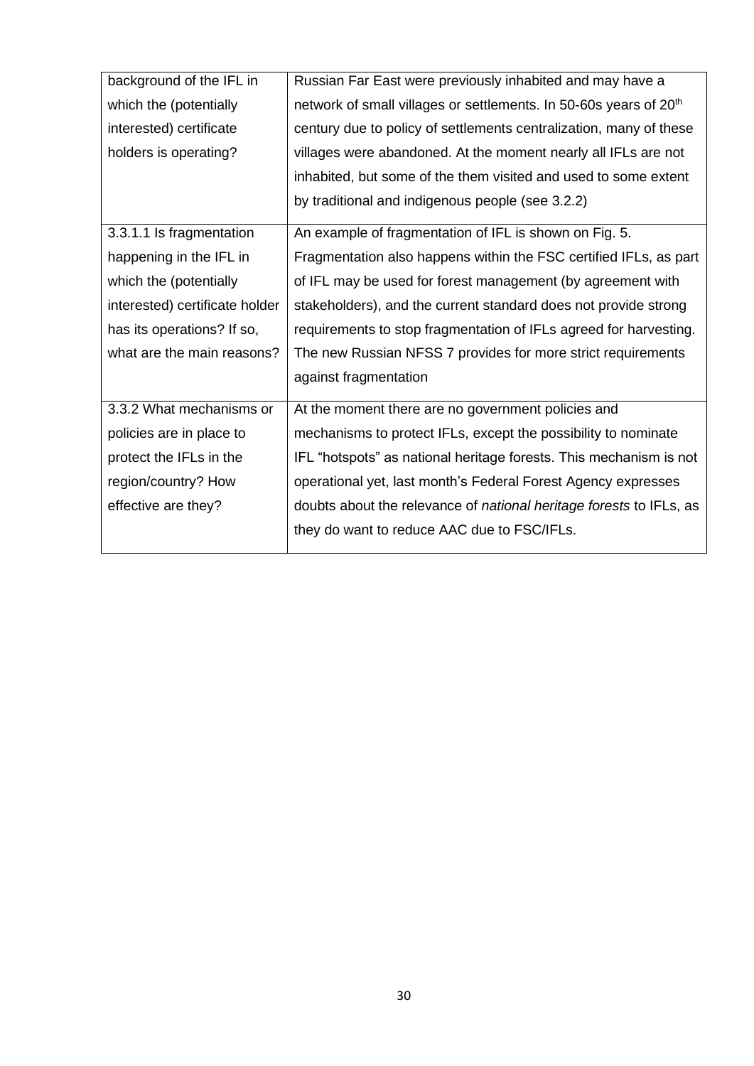| background of the IFL in       | Russian Far East were previously inhabited and may have a                     |
|--------------------------------|-------------------------------------------------------------------------------|
| which the (potentially         | network of small villages or settlements. In 50-60s years of 20 <sup>th</sup> |
| interested) certificate        | century due to policy of settlements centralization, many of these            |
| holders is operating?          | villages were abandoned. At the moment nearly all IFLs are not                |
|                                | inhabited, but some of the them visited and used to some extent               |
|                                | by traditional and indigenous people (see 3.2.2)                              |
| 3.3.1.1 Is fragmentation       | An example of fragmentation of IFL is shown on Fig. 5.                        |
| happening in the IFL in        | Fragmentation also happens within the FSC certified IFLs, as part             |
| which the (potentially         | of IFL may be used for forest management (by agreement with                   |
| interested) certificate holder | stakeholders), and the current standard does not provide strong               |
| has its operations? If so,     | requirements to stop fragmentation of IFLs agreed for harvesting.             |
| what are the main reasons?     | The new Russian NFSS 7 provides for more strict requirements                  |
|                                | against fragmentation                                                         |
| 3.3.2 What mechanisms or       | At the moment there are no government policies and                            |
| policies are in place to       | mechanisms to protect IFLs, except the possibility to nominate                |
| protect the IFLs in the        | IFL "hotspots" as national heritage forests. This mechanism is not            |
| region/country? How            | operational yet, last month's Federal Forest Agency expresses                 |
| effective are they?            | doubts about the relevance of <i>national heritage forests</i> to IFLs, as    |
|                                | they do want to reduce AAC due to FSC/IFLs.                                   |
|                                |                                                                               |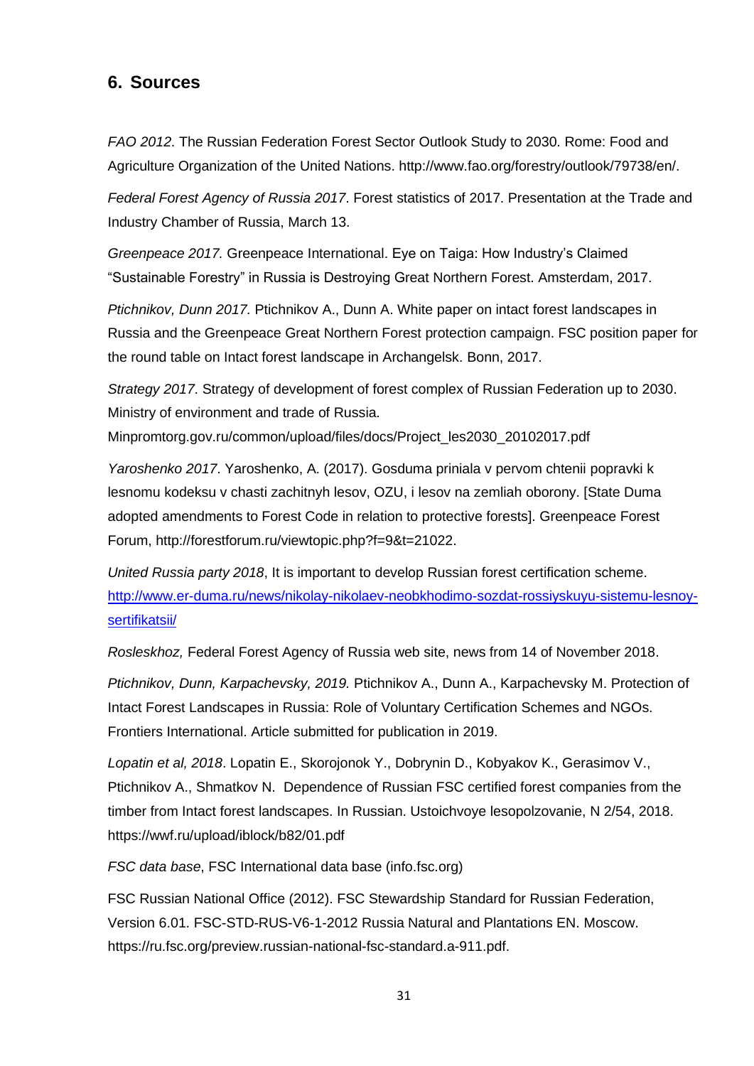### <span id="page-30-0"></span>**6. Sources**

*FAO 2012*. The Russian Federation Forest Sector Outlook Study to 2030. Rome: Food and Agriculture Organization of the United Nations. http://www.fao.org/forestry/outlook/79738/en/.

*Federal Forest Agency of Russia 2017*. Forest statistics of 2017. Presentation at the Trade and Industry Chamber of Russia, March 13.

*Greenpeace 2017.* Greenpeace International. Eye on Taiga: How Industry's Claimed "Sustainable Forestry" in Russia is Destroying Great Northern Forest. Amsterdam, 2017.

*Ptichnikov, Dunn 2017.* Ptichnikov A., Dunn A. White paper on intact forest landscapes in Russia and the Greenpeace Great Northern Forest protection campaign. FSC position paper for the round table on Intact forest landscape in Archangelsk. Bonn, 2017.

*Strategy 2017*. Strategy of development of forest complex of Russian Federation up to 2030. Ministry of environment and trade of Russia.

Minpromtorg.gov.ru/common/upload/files/docs/Project\_les2030\_20102017.pdf

*Yaroshenko 2017*. Yaroshenko, A. (2017). Gosduma priniala v pervom chtenii popravki k lesnomu kodeksu v chasti zachitnyh lesov, OZU, i lesov na zemliah oborony. [State Duma adopted amendments to Forest Code in relation to protective forests]. Greenpeace Forest Forum, http://forestforum.ru/viewtopic.php?f=9&t=21022.

*United Russia party 2018*, It is important to develop Russian forest certification scheme. [http://www.er-duma.ru/news/nikolay-nikolaev-neobkhodimo-sozdat-rossiyskuyu-sistemu-lesnoy](http://www.er-duma.ru/news/nikolay-nikolaev-neobkhodimo-sozdat-rossiyskuyu-sistemu-lesnoy-sertifikatsii/)[sertifikatsii/](http://www.er-duma.ru/news/nikolay-nikolaev-neobkhodimo-sozdat-rossiyskuyu-sistemu-lesnoy-sertifikatsii/)

*Rosleskhoz,* Federal Forest Agency of Russia web site, news from 14 of November 2018.

*Ptichnikov, Dunn, Karpachevsky, 2019.* Ptichnikov A., Dunn A., Karpachevsky M. Protection of Intact Forest Landscapes in Russia: Role of Voluntary Certification Schemes and NGOs. Frontiers International. Article submitted for publication in 2019.

*Lopatin et al, 2018*. Lopatin E., Skorojonok Y., Dobrynin D., Kobyakov K., Gerasimov V., Ptichnikov A., Shmatkov N. Dependence of Russian FSC certified forest companies from the timber from Intact forest landscapes. In Russian. Ustoichvoye lesopolzovanie, N 2/54, 2018. https://wwf.ru/upload/iblock/b82/01.pdf

*FSC data base*, FSC International data base (info.fsc.org)

FSC Russian National Office (2012). FSC Stewardship Standard for Russian Federation, Version 6.01. FSC-STD-RUS-V6-1-2012 Russia Natural and Plantations EN. Moscow. https://ru.fsc.org/preview.russian-national-fsc-standard.a-911.pdf.